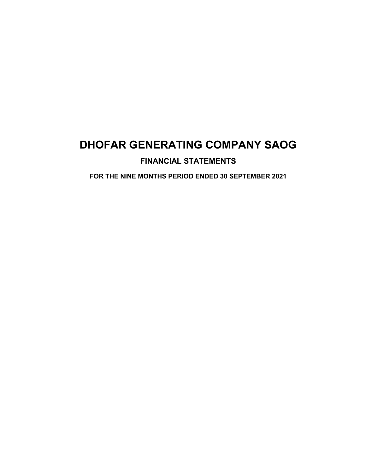## **FINANCIAL STATEMENTS**

**FOR THE NINE MONTHS PERIOD ENDED 30 SEPTEMBER 2021**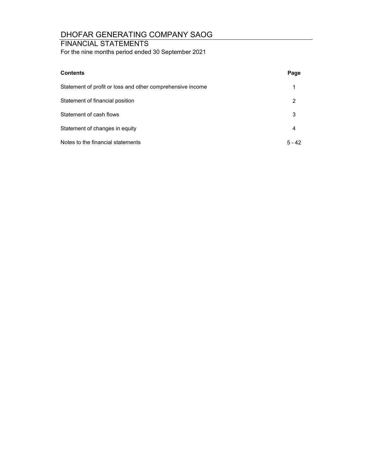### FINANCIAL STATEMENTS

For the nine months period ended 30 September 2021

| <b>Contents</b>                                            | Page     |
|------------------------------------------------------------|----------|
| Statement of profit or loss and other comprehensive income | 1        |
| Statement of financial position                            | 2        |
| Statement of cash flows                                    | 3        |
| Statement of changes in equity                             | 4        |
| Notes to the financial statements                          | $5 - 42$ |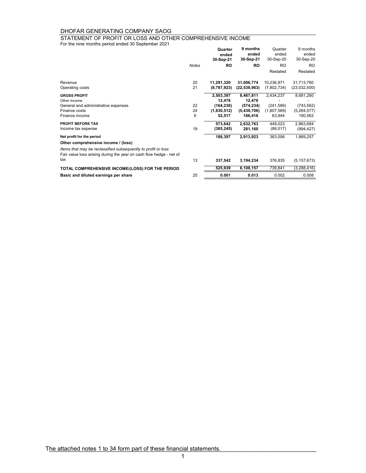STATEMENT OF PROFIT OR LOSS AND OTHER COMPREHENSIVE INCOME

For the nine months period ended 30 September 2021

|                                                                     |              | Quarter<br>ended<br>30-Sep-21 | 9 months<br>ended<br>30-Sep-21 | Quarter<br>ended<br>30-Sep-20 | 9 months<br>ended<br>30-Sep-20 |
|---------------------------------------------------------------------|--------------|-------------------------------|--------------------------------|-------------------------------|--------------------------------|
|                                                                     | <b>Notes</b> | <b>RO</b>                     | <b>RO</b>                      | <b>RO</b>                     | <b>RO</b>                      |
|                                                                     |              |                               |                                | Restated                      | Restated                       |
| Revenue                                                             | 20           | 11,291,320                    | 31,006,774                     | 10,236,971                    | 31,713,760                     |
| Operating costs                                                     | 21           | (8,787,923)                   | (22, 538, 963)                 | (7,802,734)                   | (23,032,500)                   |
| <b>GROSS PROFIT</b>                                                 |              | 2,503,397                     | 8,467,811                      | 2,434,237                     | 8,681,260                      |
| Other Income                                                        |              | 12,476                        | 12,476                         |                               |                                |
| General and administrative expenses                                 | 22           | (164, 236)                    | (574, 234)                     | (241, 589)                    | (743, 562)                     |
| Finance costs                                                       | 24           | (1,830,512)                   | (5,439,706)                    | (1,807,569)                   | (5,264,577)                    |
| Finance income                                                      | 6            | 52,517                        | 166,416                        | 63,944                        | 190,563                        |
| <b>PROFIT BEFORE TAX</b>                                            |              | 573.642                       | 2,632,763                      | 449,023                       | 2,863,684                      |
| Income tax expense                                                  | 19           | (385, 245)                    | 281,160                        | (86, 017)                     | (994, 427)                     |
| Net profit for the period                                           |              | 188,397                       | 2,913,923                      | 363,006                       | 1,869,257                      |
| Other comprehensive income / (loss)                                 |              |                               |                                |                               |                                |
| Items that may be reclassified subsequently to profit or loss       |              |                               |                                |                               |                                |
| Fair value loss arising during the year on cash flow hedge - net of |              |                               |                                |                               |                                |
| tax                                                                 | 13           | 337,542                       | 3,194,234                      | 376,835                       | (5, 157, 673)                  |
| TOTAL COMPREHENSIVE INCOME/(LOSS) FOR THE PERIOD                    |              | 525,939                       | 6,108,157                      | 739,841                       | (3, 288, 416)                  |
| Basic and diluted earnings per share                                | 25           | 0.001                         | 0.013                          | 0.002                         | 0.008                          |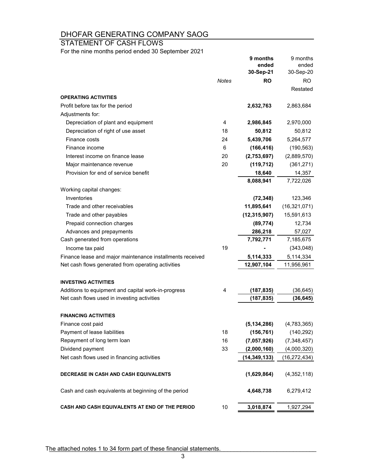STATEMENT OF CASH FLOWS

For the nine months period ended 30 September 2021

|                                                                                                    |              | 9 months<br>ended<br>30-Sep-21 | 9 months<br>ended<br>30-Sep-20 |
|----------------------------------------------------------------------------------------------------|--------------|--------------------------------|--------------------------------|
|                                                                                                    | <b>Notes</b> | RO                             | <b>RO</b>                      |
|                                                                                                    |              |                                | Restated                       |
| <b>OPERATING ACTIVITIES</b>                                                                        |              |                                |                                |
| Profit before tax for the period                                                                   |              | 2,632,763                      | 2,863,684                      |
| Adjustments for:                                                                                   |              |                                |                                |
| Depreciation of plant and equipment                                                                | 4            | 2,986,845                      | 2,970,000                      |
| Depreciation of right of use asset                                                                 | 18           | 50,812                         | 50,812                         |
| Finance costs                                                                                      | 24           | 5,439,706                      | 5,264,577                      |
| Finance income                                                                                     | 6            | (166, 416)                     | (190, 563)                     |
| Interest income on finance lease                                                                   | 20           | (2,753,697)                    | (2,889,570)                    |
| Major maintenance revenue                                                                          | 20           | (119, 712)                     | (361, 271)                     |
| Provision for end of service benefit                                                               |              | 18,640                         | 14,357                         |
|                                                                                                    |              | 8,088,941                      | 7,722,026                      |
| Working capital changes:                                                                           |              |                                |                                |
| Inventories                                                                                        |              | (72, 348)                      | 123,346                        |
| Trade and other receivables                                                                        |              | 11,895,641                     | (16, 321, 071)                 |
| Trade and other payables                                                                           |              | (12, 315, 907)                 | 15,591,613                     |
| Prepaid connection charges                                                                         |              | (89, 774)                      | 12,734                         |
| Advances and prepayments                                                                           |              | 286,218                        | 57,027                         |
| Cash generated from operations                                                                     |              | 7,792,771                      | 7,185,675                      |
| Income tax paid                                                                                    | 19           |                                | (343,048)                      |
| Finance lease and major maintenance installments received                                          |              | 5,114,333                      | 5,114,334                      |
| Net cash flows generated from operating activities                                                 |              | 12,907,104                     | 11,956,961                     |
| <b>INVESTING ACTIVITIES</b>                                                                        |              |                                |                                |
|                                                                                                    | 4            |                                |                                |
| Additions to equipment and capital work-in-progress<br>Net cash flows used in investing activities |              | (187, 835)<br>(187, 835)       | (36, 645)<br>(36, 645)         |
|                                                                                                    |              |                                |                                |
| <b>FINANCING ACTIVITIES</b>                                                                        |              |                                |                                |
| Finance cost paid                                                                                  |              | (5, 134, 286)                  | (4,783,365)                    |
| Payment of lease liabilities                                                                       | 18           | (156, 761)                     | (140, 292)                     |
| Repayment of long term loan                                                                        | 16           | (7,057,926)                    | (7,348,457)                    |
| Dividend payment                                                                                   | 33           | (2,000,160)                    | (4,000,320)                    |
| Net cash flows used in financing activities                                                        |              | (14, 349, 133)                 | (16, 272, 434)                 |
| <b>DECREASE IN CASH AND CASH EQUIVALENTS</b>                                                       |              | (1,629,864)                    | (4,352,118)                    |
| Cash and cash equivalents at beginning of the period                                               |              | 4,648,738                      | 6,279,412                      |
| CASH AND CASH EQUIVALENTS AT END OF THE PERIOD                                                     | 10           | 3,018,874                      | 1,927,294                      |

The attached notes 1 to 34 form part of these financial statements.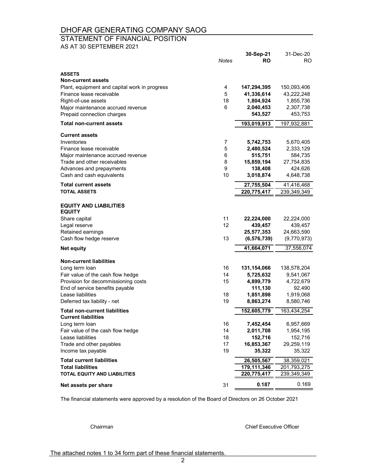#### STATEMENT OF FINANCIAL POSITION

AS AT 30 SEPTEMBER 2021

|                                                                 | <b>Notes</b> | 30-Sep-21<br><b>RO</b> | 31-Dec-20<br>RO.     |
|-----------------------------------------------------------------|--------------|------------------------|----------------------|
| <b>ASSETS</b>                                                   |              |                        |                      |
| <b>Non-current assets</b>                                       |              |                        |                      |
| Plant, equipment and capital work in progress                   | 4            | 147,294,395            | 150,093,406          |
| Finance lease receivable                                        | 5            | 41,336,614             | 43,222,248           |
| Right-of-use assets                                             | 18<br>6      | 1,804,924              | 1,855,736            |
| Major maintenance accrued revenue<br>Prepaid connection charges |              | 2,040,453<br>543,527   | 2,307,738<br>453,753 |
| <b>Total non-current assets</b>                                 |              | 193,019,913            | 197,932,881          |
|                                                                 |              |                        |                      |
| <b>Current assets</b>                                           |              |                        |                      |
| Inventories                                                     | 7            | 5,742,753              | 5,670,405            |
| Finance lease receivable                                        | 5            | 2,480,524              | 2,333,129            |
| Major maintenance accrued revenue                               | 6            | 515,751                | 584,735              |
| Trade and other receivables                                     | 8            | 15,859,194             | 27,754,835           |
| Advances and prepayments<br>Cash and cash equivalents           | 9<br>10      | 138,408<br>3,018,874   | 424,626<br>4,648,738 |
| <b>Total current assets</b>                                     |              | 27,755,504             | 41,416,468           |
| <b>TOTAL ASSETS</b>                                             |              | 220,775,417            | 239,349,349          |
|                                                                 |              |                        |                      |
| <b>EQUITY AND LIABILITIES</b><br><b>EQUITY</b>                  |              |                        |                      |
| Share capital                                                   | 11           | 22,224,000             | 22,224,000           |
| Legal reserve                                                   | 12           | 439,457                | 439,457              |
| Retained earnings                                               |              | 25,577,353             | 24,663,590           |
| Cash flow hedge reserve                                         | 13           | (6, 576, 739)          | (9,770,973)          |
| <b>Net equity</b>                                               |              | 41,664,071             | 37,556,074           |
|                                                                 |              |                        |                      |
| <b>Non-current liabilities</b><br>Long term loan                | 16           | 131,154,066            | 138,578,204          |
| Fair value of the cash flow hedge                               | 14           | 5,725,632              | 9,541,067            |
| Provision for decommissioning costs                             | 15           | 4,899,779              | 4,722,679            |
| End of service benefits payable                                 |              | 111,130                | 92,490               |
| Lease liabilities                                               | 18           | 1,851,898              | 1,919,068            |
| Deferred tax liability - net                                    | 19           | 8,863,274              | 8,580,746            |
| <b>Total non-current liabilities</b>                            |              | 152,605,779            | 163,434,254          |
| <b>Current liabilities</b>                                      |              |                        |                      |
| Long term loan                                                  | 16           | 7,452,454              | 6,957,669            |
| Fair value of the cash flow hedge                               | 14           | 2,011,708              | 1,954,195            |
| Lease liabilities                                               | 18           | 152,716                | 152,716              |
| Trade and other payables                                        | 17           | 16,853,367             | 29,259,119           |
| Income tax payable                                              | 19           | 35,322                 | 35,322               |
| <b>Total current liabilities</b>                                |              | 26,505,567             | 38,359,021           |
| <b>Total liabilities</b>                                        |              | 179,111,346            | 201,793,275          |
| TOTAL EQUITY AND LIABILITIES                                    |              | 220,775,417            | 239,349,349          |
| Net assets per share                                            | 31           | 0.187                  | 0.169                |
|                                                                 |              |                        |                      |

The financial statements were approved by a resolution of the Board of Directors on 26 October 2021

Chairman Chief Executive Officer

The attached notes 1 to 34 form part of these financial statements.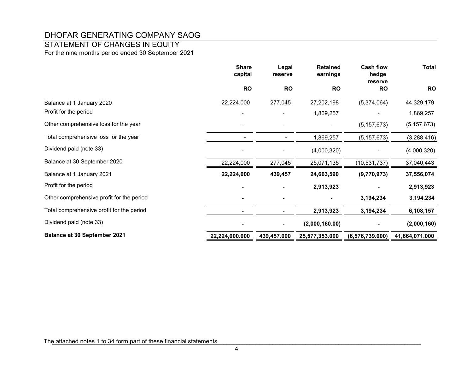## STATEMENT OF CHANGES IN EQUITY

For the nine months period ended 30 September 2021

|                                           | <b>Share</b><br>capital | Legal<br>reserve | <b>Retained</b><br>earnings | <b>Cash flow</b><br>hedge<br>reserve | <b>Total</b>   |
|-------------------------------------------|-------------------------|------------------|-----------------------------|--------------------------------------|----------------|
|                                           | <b>RO</b>               | <b>RO</b>        | <b>RO</b>                   | <b>RO</b>                            | <b>RO</b>      |
| Balance at 1 January 2020                 | 22,224,000              | 277,045          | 27,202,198                  | (5,374,064)                          | 44,329,179     |
| Profit for the period                     |                         |                  | 1,869,257                   |                                      | 1,869,257      |
| Other comprehensive loss for the year     |                         |                  |                             | (5, 157, 673)                        | (5, 157, 673)  |
| Total comprehensive loss for the year     |                         |                  | 1,869,257                   | (5, 157, 673)                        | (3,288,416)    |
| Dividend paid (note 33)                   |                         |                  | (4,000,320)                 |                                      | (4,000,320)    |
| Balance at 30 September 2020              | 22,224,000              | 277,045          | 25,071,135                  | (10, 531, 737)                       | 37,040,443     |
| Balance at 1 January 2021                 | 22,224,000              | 439,457          | 24,663,590                  | (9,770,973)                          | 37,556,074     |
| Profit for the period                     |                         |                  | 2,913,923                   |                                      | 2,913,923      |
| Other comprehensive profit for the period |                         |                  |                             | 3,194,234                            | 3,194,234      |
| Total comprehensive profit for the period |                         |                  | 2,913,923                   | 3,194,234                            | 6,108,157      |
| Dividend paid (note 33)                   |                         | $\blacksquare$   | (2,000,160.00)              |                                      | (2,000,160)    |
| <b>Balance at 30 September 2021</b>       | 22,224,000.000          | 439,457.000      | 25,577,353.000              | (6, 576, 739.000)                    | 41,664,071.000 |

The attached notes 1 to 34 form part of these financial statements.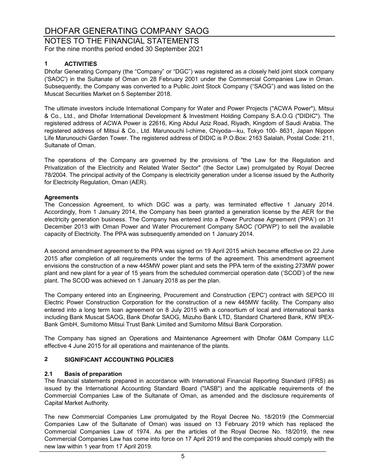NOTES TO THE FINANCIAL STATEMENTS For the nine months period ended 30 September 2021

### **1 ACTIVITIES**

Dhofar Generating Company (the "Company" or "DGC") was registered as a closely held joint stock company ('SAOC') in the Sultanate of Oman on 28 February 2001 under the Commercial Companies Law in Oman. Subsequently, the Company was converted to a Public Joint Stock Company ("SAOG") and was listed on the Muscat Securities Market on 5 September 2018.

The ultimate investors include International Company for Water and Power Projects ("ACWA Power"), Mitsui & Co., Ltd., and Dhofar International Development & Investment Holding Company S.A.O.G ("DIDIC"). The registered address of ACWA Power is 22616, King Abdul Aziz Road, Riyadh, Kingdom of Saudi Arabia. The registered address of Mitsui & Co., Ltd. Marunouchi l-chime, Chiyoda—ku, Tokyo 100- 8631, Japan Nippon Life Marunouchi Garden Tower. The registered address of DIDIC is P.O.Box: 2163 Salalah, Postal Code: 211, Sultanate of Oman.

The operations of the Company are governed by the provisions of "the Law for the Regulation and Privatization of the Electricity and Related Water Sector" (the Sector Law) promulgated by Royal Decree 78/2004. The principal activity of the Company is electricity generation under a license issued by the Authority for Electricity Regulation, Oman (AER).

#### **Agreements**

The Concession Agreement, to which DGC was a party, was terminated effective 1 January 2014. Accordingly, from 1 January 2014, the Company has been granted a generation license by the AER for the electricity generation business. The Company has entered into a Power Purchase Agreement ('PPA') on 31 December 2013 with Oman Power and Water Procurement Company SAOC ('OPWP') to sell the available capacity of Electricity. The PPA was subsequently amended on 1 January 2014.

A second amendment agreement to the PPA was signed on 19 April 2015 which became effective on 22 June 2015 after completion of all requirements under the terms of the agreement. This amendment agreement envisions the construction of a new 445MW power plant and sets the PPA term of the existing 273MW power plant and new plant for a year of 15 years from the scheduled commercial operation date ('SCOD') of the new plant. The SCOD was achieved on 1 January 2018 as per the plan.

The Company entered into an Engineering, Procurement and Construction ('EPC') contract with SEPCO III Electric Power Construction Corporation for the construction of a new 445MW facility. The Company also entered into a long term loan agreement on 8 July 2015 with a consortium of local and international banks including Bank Muscat SAOG, Bank Dhofar SAOG, Mizuho Bank LTD, Standard Chartered Bank, KfW IPEX-Bank GmbH, Sumitomo Mitsui Trust Bank Limited and Sumitomo Mitsui Bank Corporation.

The Company has signed an Operations and Maintenance Agreement with Dhofar O&M Company LLC effective 4 June 2015 for all operations and maintenance of the plants.

### **2 SIGNIFICANT ACCOUNTING POLICIES**

#### **2.1 Basis of preparation**

The financial statements prepared in accordance with International Financial Reporting Standard (IFRS) as issued by the International Accounting Standard Board ("IASB") and the applicable requirements of the Commercial Companies Law of the Sultanate of Oman, as amended and the disclosure requirements of Capital Market Authority.

The new Commercial Companies Law promulgated by the Royal Decree No. 18/2019 (the Commercial Companies Law of the Sultanate of Oman) was issued on 13 February 2019 which has replaced the Commercial Companies Law of 1974. As per the articles of the Royal Decree No. 18/2019, the new Commercial Companies Law has come into force on 17 April 2019 and the companies should comply with the new law within 1 year from 17 April 2019.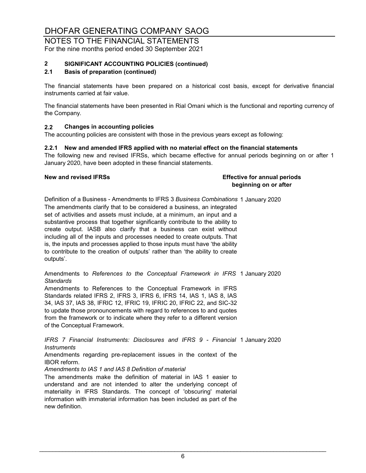#### NOTES TO THE FINANCIAL STATEMENTS For the nine months period ended 30 September 2021

# **2 SIGNIFICANT ACCOUNTING POLICIES (continued)**

### **2.1 Basis of preparation (continued)**

The financial statements have been prepared on a historical cost basis, except for derivative financial instruments carried at fair value.

The financial statements have been presented in Rial Omani which is the functional and reporting currency of the Company.

#### **2.2 Changes in accounting policies**

The accounting policies are consistent with those in the previous years except as following:

#### **2.2.1 New and amended IFRS applied with no material effect on the financial statements**

The following new and revised IFRSs, which became effective for annual periods beginning on or after 1 January 2020, have been adopted in these financial statements.

**New and revised IFRSs Effective for annual periods beginning on or after**

Definition of a Business - Amendments to IFRS 3 *Business Combinations* 1 January 2020 The amendments clarify that to be considered a business, an integrated set of activities and assets must include, at a minimum, an input and a substantive process that together significantly contribute to the ability to create output. IASB also clarify that a business can exist without including all of the inputs and processes needed to create outputs. That is, the inputs and processes applied to those inputs must have 'the ability to contribute to the creation of outputs' rather than 'the ability to create outputs'.

Amendments to *References to the Conceptual Framework in IFRS* 1 January 2020 *Standards*

Amendments to References to the Conceptual Framework in IFRS Standards related IFRS 2, IFRS 3, IFRS 6, IFRS 14, IAS 1, IAS 8, IAS 34, IAS 37, IAS 38, IFRIC 12, IFRIC 19, IFRIC 20, IFRIC 22, and SIC-32 to update those pronouncements with regard to references to and quotes from the framework or to indicate where they refer to a different version of the Conceptual Framework.

1 January 2020 *IFRS 7 Financial Instruments: Disclosures and IFRS 9 - Financial Instruments*

Amendments regarding pre-replacement issues in the context of the IBOR reform.

*Amendments to IAS 1 and IAS 8 Definition of material*

The amendments make the definition of material in IAS 1 easier to understand and are not intended to alter the underlying concept of materiality in IFRS Standards. The concept of 'obscuring' material information with immaterial information has been included as part of the new definition.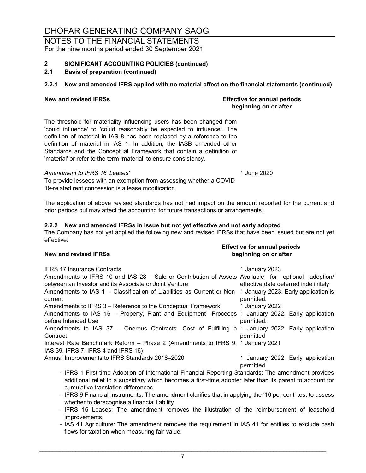#### NOTES TO THE FINANCIAL STATEMENTS For the nine months period ended 30 September 2021

# **2 SIGNIFICANT ACCOUNTING POLICIES (continued)**

### **2.1 Basis of preparation (continued)**

### **2.2.1 New and amended IFRS applied with no material effect on the financial statements (continued)**

**New and revised IFRSs Effective for annual periods beginning on or after**

The threshold for materiality influencing users has been changed from 'could influence' to 'could reasonably be expected to influence'. The definition of material in IAS 8 has been replaced by a reference to the definition of material in IAS 1. In addition, the IASB amended other Standards and the Conceptual Framework that contain a definition of 'material' or refer to the term 'material' to ensure consistency.

#### *Amendment to IFRS 16 'Leases'* 1 June 2020

To provide lessees with an exemption from assessing whether a COVID-19-related rent concession is a lease modification.

The application of above revised standards has not had impact on the amount reported for the current and prior periods but may affect the accounting for future transactions or arrangements.

#### **2.2.2 New and amended IFRSs in issue but not yet effective and not early adopted**

The Company has not yet applied the following new and revised IFRSs that have been issued but are not yet effective:

**Effective for annual periods New and revised IFRSs beginning on or after**

| <b>IFRS 17 Insurance Contracts</b>                                                                                                                                                                               | 1 January 2023                                 |
|------------------------------------------------------------------------------------------------------------------------------------------------------------------------------------------------------------------|------------------------------------------------|
| Amendments to IFRS 10 and IAS 28 - Sale or Contribution of Assets Available for optional adoption/                                                                                                               |                                                |
| between an Investor and its Associate or Joint Venture                                                                                                                                                           | effective date deferred indefinitely           |
| Amendments to IAS 1 – Classification of Liabilities as Current or Non- 1 January 2023. Early application is<br>current                                                                                           | permitted.                                     |
| Amendments to IFRS 3 – Reference to the Conceptual Framework                                                                                                                                                     | 1 January 2022                                 |
| Amendments to IAS 16 – Property, Plant and Equipment—Proceeds 1 January 2022. Early application                                                                                                                  |                                                |
| before Intended Use                                                                                                                                                                                              | permitted.                                     |
| Amendments to IAS 37 - Onerous Contracts-Cost of Fulfilling a 1 January 2022. Early application<br>Contract                                                                                                      | permitted                                      |
| Interest Rate Benchmark Reform - Phase 2 (Amendments to IFRS 9, 1 January 2021                                                                                                                                   |                                                |
| IAS 39, IFRS 7, IFRS 4 and IFRS 16)                                                                                                                                                                              |                                                |
| Annual Improvements to IFRS Standards 2018-2020                                                                                                                                                                  | 1 January 2022. Early application<br>permitted |
| - IFRS 1 First-time Adoption of International Financial Reporting Standards: The amendment provides<br>additional relief to a subsidiary which becomes a first-time adopter later than its parent to account for |                                                |

- additional relief to a subsidiary which becomes a first-time adopter later than its parent to account for cumulative translation differences.
- IFRS 9 Financial Instruments: The amendment clarifies that in applying the '10 per cent' test to assess whether to derecognise a financial liability
- IFRS 16 Leases: The amendment removes the illustration of the reimbursement of leasehold improvements.
- IAS 41 Agriculture: The amendment removes the requirement in IAS 41 for entities to exclude cash flows for taxation when measuring fair value.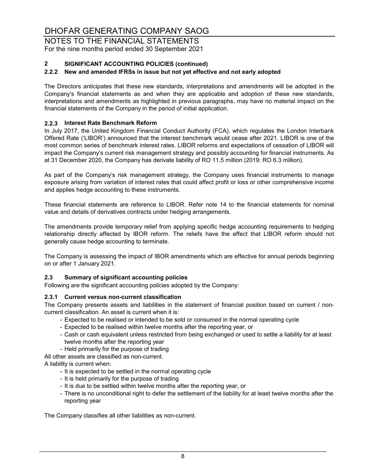NOTES TO THE FINANCIAL STATEMENTS For the nine months period ended 30 September 2021

### **2 SIGNIFICANT ACCOUNTING POLICIES (continued)**

### **2.2.2 New and amended IFRSs in issue but not yet effective and not early adopted**

The Directors anticipates that these new standards, interpretations and amendments will be adopted in the Company's financial statements as and when they are applicable and adoption of these new standards, interpretations and amendments as highlighted in previous paragraphs, may have no material impact on the financial statements of the Company in the period of initial application.

### **2.2.3 Interest Rate Benchmark Reform**

In July 2017, the United Kingdom Financial Conduct Authority (FCA), which regulates the London Interbank Offered Rate ('LIBOR') announced that the interest benchmark would cease after 2021. LIBOR is one of the most common series of benchmark interest rates. LIBOR reforms and expectations of cessation of LIBOR will impact the Company's current risk management strategy and possibly accounting for financial instruments. As at 31 December 2020, the Company has derivate liability of RO 11.5 million (2019: RO 6.3 million).

As part of the Company's risk management strategy, the Company uses financial instruments to manage exposure arising from variation of interest rates that could affect profit or loss or other comprehensive income and applies hedge accounting to these instruments.

These financial statements are reference to LIBOR. Refer note 14 to the financial statements for nominal value and details of derivatives contracts under hedging arrangements.

The amendments provide temporary relief from applying specific hedge accounting requirements to hedging relationship directly affected by IBOR reform. The reliefs have the effect that LIBOR reform should not generally cause hedge accounting to terminate.

The Company is assessing the impact of IBOR amendments which are effective for annual periods beginning on or after 1 January 2021.

#### **2.3 Summary of significant accounting policies**

Following are the significant accounting policies adopted by the Company:

#### **2.3.1 Current versus non-current classification**

The Company presents assets and liabilities in the statement of financial position based on current / noncurrent classification. An asset is current when it is:

- Expected to be realised or intended to be sold or consumed in the normal operating cycle
- Expected to be realised within twelve months after the reporting year, or
- Cash or cash equivalent unless restricted from being exchanged or used to settle a liability for at least twelve months after the reporting year
- Held primarily for the purpose of trading

All other assets are classified as non-current.

A liability is current when:

- It is expected to be settled in the normal operating cycle
- It is held primarily for the purpose of trading
- It is due to be settled within twelve months after the reporting year, or
- There is no unconditional right to defer the settlement of the liability for at least twelve months after the reporting year

The Company classifies all other liabilities as non-current.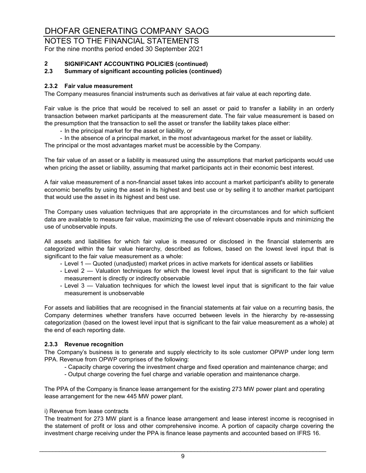NOTES TO THE FINANCIAL STATEMENTS For the nine months period ended 30 September 2021

# **2 SIGNIFICANT ACCOUNTING POLICIES (continued)**

#### **2.3 Summary of significant accounting policies (continued)**

#### **2.3.2 Fair value measurement**

The Company measures financial instruments such as derivatives at fair value at each reporting date.

Fair value is the price that would be received to sell an asset or paid to transfer a liability in an orderly transaction between market participants at the measurement date. The fair value measurement is based on the presumption that the transaction to sell the asset or transfer the liability takes place either:

- In the principal market for the asset or liability, or
- In the absence of a principal market, in the most advantageous market for the asset or liability. The principal or the most advantages market must be accessible by the Company.

The fair value of an asset or a liability is measured using the assumptions that market participants would use when pricing the asset or liability, assuming that market participants act in their economic best interest.

A fair value measurement of a non-financial asset takes into account a market participant's ability to generate economic benefits by using the asset in its highest and best use or by selling it to another market participant that would use the asset in its highest and best use.

The Company uses valuation techniques that are appropriate in the circumstances and for which sufficient data are available to measure fair value, maximizing the use of relevant observable inputs and minimizing the use of unobservable inputs.

All assets and liabilities for which fair value is measured or disclosed in the financial statements are categorized within the fair value hierarchy, described as follows, based on the lowest level input that is significant to the fair value measurement as a whole:

- Level 1 Quoted (unadjusted) market prices in active markets for identical assets or liabilities
- Level 2 Valuation techniques for which the lowest level input that is significant to the fair value measurement is directly or indirectly observable
- Level 3 Valuation techniques for which the lowest level input that is significant to the fair value measurement is unobservable

For assets and liabilities that are recognised in the financial statements at fair value on a recurring basis, the Company determines whether transfers have occurred between levels in the hierarchy by re-assessing categorization (based on the lowest level input that is significant to the fair value measurement as a whole) at the end of each reporting date.

#### **2.3.3 Revenue recognition**

The Company's business is to generate and supply electricity to its sole customer OPWP under long term PPA. Revenue from OPWP comprises of the following:

- Capacity charge covering the investment charge and fixed operation and maintenance charge; and
- Output charge covering the fuel charge and variable operation and maintenance charge.

The PPA of the Company is finance lease arrangement for the existing 273 MW power plant and operating lease arrangement for the new 445 MW power plant.

#### i) Revenue from lease contracts

The treatment for 273 MW plant is a finance lease arrangement and lease interest income is recognised in the statement of profit or loss and other comprehensive income. A portion of capacity charge covering the investment charge receiving under the PPA is finance lease payments and accounted based on IFRS 16.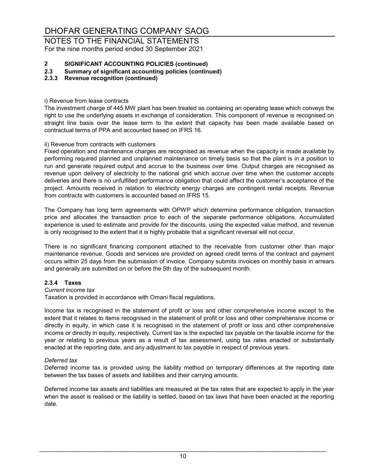NOTES TO THE FINANCIAL STATEMENTS For the nine months period ended 30 September 2021

# **2 SIGNIFICANT ACCOUNTING POLICIES (continued)**

**2.3 Summary of significant accounting policies (continued)**

#### **2.3.3 Revenue recognition (continued)**

i) Revenue from lease contracts

The investment charge of 445 MW plant has been treated as containing an operating lease which conveys the right to use the underlying assets in exchange of consideration. This component of revenue is recognised on straight line basis over the lease term to the extent that capacity has been made available based on contractual terms of PPA and accounted based on IFRS 16.

#### ii) Revenue from contracts with customers

Fixed operation and maintenance charges are recognised as revenue when the capacity is made available by performing required planned and unplanned maintenance on timely basis so that the plant is in a position to run and generate required output and accrue to the business over time. Output charges are recognised as revenue upon delivery of electricity to the national grid which accrue over time when the customer accepts deliveries and there is no unfulfilled performance obligation that could affect the customer's acceptance of the project. Amounts received in relation to electricity energy charges are contingent rental receipts. Revenue from contracts with customers is accounted based on IFRS 15.

The Company has long term agreements with OPWP which determine performance obligation, transaction price and allocates the transaction price to each of the separate performance obligations. Accumulated experience is used to estimate and provide for the discounts, using the expected value method, and revenue is only recognised to the extent that it is highly probable that a significant reversal will not occur.

There is no significant financing component attached to the receivable from customer other than major maintenance revenue. Goods and services are provided on agreed credit terms of the contract and payment occurs within 25 days from the submission of invoice. Company submits invoices on monthly basis in arrears and generally are submitted on or before the 5th day of the subsequent month.

#### **2.3.4 Taxes**

#### *Current income tax*

Taxation is provided in accordance with Omani fiscal regulations.

Income tax is recognised in the statement of profit or loss and other comprehensive income except to the extent that it relates to items recognised in the statement of profit or loss and other comprehensive income or directly in equity, in which case it is recognised in the statement of profit or loss and other comprehensive income or directly in equity, respectively. Current tax is the expected tax payable on the taxable income for the year or relating to previous years as a result of tax assessment, using tax rates enacted or substantially enacted at the reporting date, and any adjustment to tax payable in respect of previous years.

#### *Deferred tax*

Deferred income tax is provided using the liability method on temporary differences at the reporting date between the tax bases of assets and liabilities and their carrying amounts.

Deferred income tax assets and liabilities are measured at the tax rates that are expected to apply in the year when the asset is realised or the liability is settled, based on tax laws that have been enacted at the reporting date.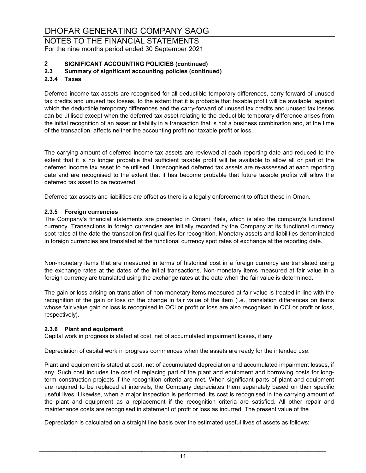NOTES TO THE FINANCIAL STATEMENTS For the nine months period ended 30 September 2021

# **2 SIGNIFICANT ACCOUNTING POLICIES (continued)**

### **2.3 Summary of significant accounting policies (continued)**

#### **2.3.4 Taxes**

Deferred income tax assets are recognised for all deductible temporary differences, carry-forward of unused tax credits and unused tax losses, to the extent that it is probable that taxable profit will be available, against which the deductible temporary differences and the carry-forward of unused tax credits and unused tax losses can be utilised except when the deferred tax asset relating to the deductible temporary difference arises from the initial recognition of an asset or liability in a transaction that is not a business combination and, at the time of the transaction, affects neither the accounting profit nor taxable profit or loss.

The carrying amount of deferred income tax assets are reviewed at each reporting date and reduced to the extent that it is no longer probable that sufficient taxable profit will be available to allow all or part of the deferred income tax asset to be utilised. Unrecognised deferred tax assets are re-assessed at each reporting date and are recognised to the extent that it has become probable that future taxable profits will allow the deferred tax asset to be recovered.

Deferred tax assets and liabilities are offset as there is a legally enforcement to offset these in Oman.

#### **2.3.5 Foreign currencies**

The Company's financial statements are presented in Omani Rials, which is also the company's functional currency. Transactions in foreign currencies are initially recorded by the Company at its functional currency spot rates at the date the transaction first qualifies for recognition. Monetary assets and liabilities denominated in foreign currencies are translated at the functional currency spot rates of exchange at the reporting date.

Non-monetary items that are measured in terms of historical cost in a foreign currency are translated using the exchange rates at the dates of the initial transactions. Non-monetary items measured at fair value in a foreign currency are translated using the exchange rates at the date when the fair value is determined.

The gain or loss arising on translation of non-monetary items measured at fair value is treated in line with the recognition of the gain or loss on the change in fair value of the item (i.e., translation differences on items whose fair value gain or loss is recognised in OCI or profit or loss are also recognised in OCI or profit or loss, respectively).

#### **2.3.6 Plant and equipment**

Capital work in progress is stated at cost, net of accumulated impairment losses, if any.

Depreciation of capital work in progress commences when the assets are ready for the intended use.

Plant and equipment is stated at cost, net of accumulated depreciation and accumulated impairment losses, if any. Such cost includes the cost of replacing part of the plant and equipment and borrowing costs for longterm construction projects if the recognition criteria are met. When significant parts of plant and equipment are required to be replaced at intervals, the Company depreciates them separately based on their specific useful lives. Likewise, when a major inspection is performed, its cost is recognised in the carrying amount of the plant and equipment as a replacement if the recognition criteria are satisfied. All other repair and maintenance costs are recognised in statement of profit or loss as incurred. The present value of the

Depreciation is calculated on a straight line basis over the estimated useful lives of assets as follows: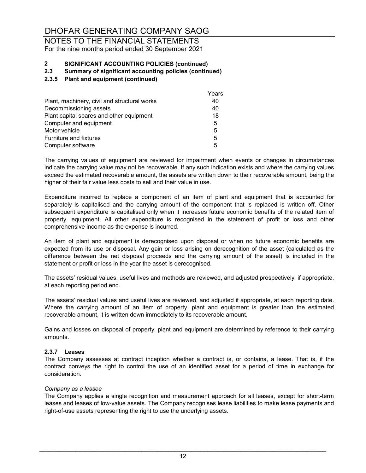#### NOTES TO THE FINANCIAL STATEMENTS For the nine months period ended 30 September 2021

# **2 SIGNIFICANT ACCOUNTING POLICIES (continued)**

#### **2.3 Summary of significant accounting policies (continued)**

#### **2.3.5 Plant and equipment (continued)**

|                                              | Years |
|----------------------------------------------|-------|
| Plant, machinery, civil and structural works | 40    |
| Decommissioning assets                       | 40    |
| Plant capital spares and other equipment     | 18    |
| Computer and equipment                       | 5     |
| Motor vehicle                                | 5     |
| <b>Furniture and fixtures</b>                | 5     |
| Computer software                            | 5     |
|                                              |       |

The carrying values of equipment are reviewed for impairment when events or changes in circumstances indicate the carrying value may not be recoverable. If any such indication exists and where the carrying values exceed the estimated recoverable amount, the assets are written down to their recoverable amount, being the higher of their fair value less costs to sell and their value in use.

Expenditure incurred to replace a component of an item of plant and equipment that is accounted for separately is capitalised and the carrying amount of the component that is replaced is written off. Other subsequent expenditure is capitalised only when it increases future economic benefits of the related item of property, equipment. All other expenditure is recognised in the statement of profit or loss and other comprehensive income as the expense is incurred.

An item of plant and equipment is derecognised upon disposal or when no future economic benefits are expected from its use or disposal. Any gain or loss arising on derecognition of the asset (calculated as the difference between the net disposal proceeds and the carrying amount of the asset) is included in the statement or profit or loss in the year the asset is derecognised.

The assets' residual values, useful lives and methods are reviewed, and adjusted prospectively, if appropriate, at each reporting period end.

The assets' residual values and useful lives are reviewed, and adjusted if appropriate, at each reporting date. Where the carrying amount of an item of property, plant and equipment is greater than the estimated recoverable amount, it is written down immediately to its recoverable amount.

Gains and losses on disposal of property, plant and equipment are determined by reference to their carrying amounts.

#### **2.3.7 Leases**

The Company assesses at contract inception whether a contract is, or contains, a lease. That is, if the contract conveys the right to control the use of an identified asset for a period of time in exchange for consideration.

#### *Company as a lessee*

The Company applies a single recognition and measurement approach for all leases, except for short-term leases and leases of low-value assets. The Company recognises lease liabilities to make lease payments and right-of-use assets representing the right to use the underlying assets.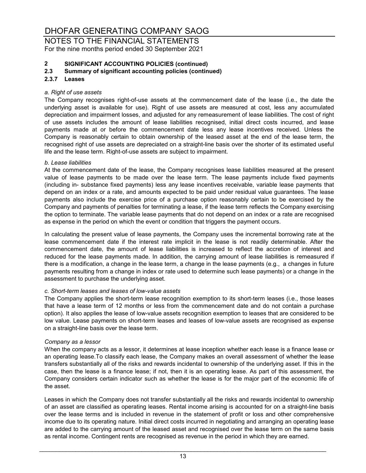NOTES TO THE FINANCIAL STATEMENTS For the nine months period ended 30 September 2021

# **2 SIGNIFICANT ACCOUNTING POLICIES (continued)**

#### **2.3 Summary of significant accounting policies (continued)**

#### **2.3.7 Leases**

#### *a. Right of use assets*

The Company recognises right-of-use assets at the commencement date of the lease (i.e., the date the underlying asset is available for use). Right of use assets are measured at cost, less any accumulated depreciation and impairment losses, and adjusted for any remeasurement of lease liabilities. The cost of right of use assets includes the amount of lease liabilities recognised, initial direct costs incurred, and lease payments made at or before the commencement date less any lease incentives received. Unless the Company is reasonably certain to obtain ownership of the leased asset at the end of the lease term, the recognised right of use assets are depreciated on a straight-line basis over the shorter of its estimated useful life and the lease term. Right-of-use assets are subject to impairment.

#### *b. Lease liabilities*

At the commencement date of the lease, the Company recognises lease liabilities measured at the present value of lease payments to be made over the lease term. The lease payments include fixed payments (including in- substance fixed payments) less any lease incentives receivable, variable lease payments that depend on an index or a rate, and amounts expected to be paid under residual value guarantees. The lease payments also include the exercise price of a purchase option reasonably certain to be exercised by the Company and payments of penalties for terminating a lease, if the lease term reflects the Company exercising the option to terminate. The variable lease payments that do not depend on an index or a rate are recognised as expense in the period on which the event or condition that triggers the payment occurs.

In calculating the present value of lease payments, the Company uses the incremental borrowing rate at the lease commencement date if the interest rate implicit in the lease is not readily determinable. After the commencement date, the amount of lease liabilities is increased to reflect the accretion of interest and reduced for the lease payments made. In addition, the carrying amount of lease liabilities is remeasured if there is a modification, a change in the lease term, a change in the lease payments (e.g., a changes in future payments resulting from a change in index or rate used to determine such lease payments) or a change in the assessment to purchase the underlying asset.

#### *c. Short-term leases and leases of low-value assets*

The Company applies the short-term lease recognition exemption to its short-term leases (i.e., those leases that have a lease term of 12 months or less from the commencement date and do not contain a purchase option). It also applies the lease of low-value assets recognition exemption to leases that are considered to be low value. Lease payments on short-term leases and leases of low-value assets are recognised as expense on a straight-line basis over the lease term.

#### *Company as a lessor*

When the company acts as a lessor, it determines at lease inception whether each lease is a finance lease or an operating lease.To classify each lease, the Company makes an overall assessment of whether the lease transfers substantially all of the risks and rewards incidental to ownership of the underlying asset. If this in the case, then the lease is a finance lease; if not, then it is an operating lease. As part of this assessment, the Company considers certain indicator such as whether the lease is for the major part of the economic life of the asset.

Leases in which the Company does not transfer substantially all the risks and rewards incidental to ownership of an asset are classified as operating leases. Rental income arising is accounted for on a straight-line basis over the lease terms and is included in revenue in the statement of profit or loss and other comprehensive income due to its operating nature. Initial direct costs incurred in negotiating and arranging an operating lease are added to the carrying amount of the leased asset and recognised over the lease term on the same basis as rental income. Contingent rents are recognised as revenue in the period in which they are earned.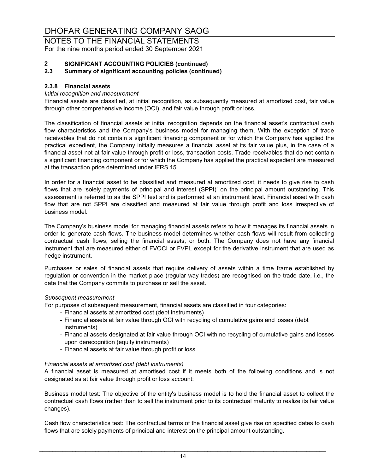#### NOTES TO THE FINANCIAL STATEMENTS For the nine months period ended 30 September 2021

# **2 SIGNIFICANT ACCOUNTING POLICIES (continued)**

#### **2.3 Summary of significant accounting policies (continued)**

#### **2.3.8 Financial assets**

#### *Initial recognition and measurement*

Financial assets are classified, at initial recognition, as subsequently measured at amortized cost, fair value through other comprehensive income (OCI), and fair value through profit or loss.

The classification of financial assets at initial recognition depends on the financial asset's contractual cash flow characteristics and the Company's business model for managing them. With the exception of trade receivables that do not contain a significant financing component or for which the Company has applied the practical expedient, the Company initially measures a financial asset at its fair value plus, in the case of a financial asset not at fair value through profit or loss, transaction costs. Trade receivables that do not contain a significant financing component or for which the Company has applied the practical expedient are measured at the transaction price determined under IFRS 15.

In order for a financial asset to be classified and measured at amortized cost, it needs to give rise to cash flows that are 'solely payments of principal and interest (SPPI)' on the principal amount outstanding. This assessment is referred to as the SPPI test and is performed at an instrument level. Financial asset with cash flow that are not SPPI are classified and measured at fair value through profit and loss irrespective of business model.

The Company's business model for managing financial assets refers to how it manages its financial assets in order to generate cash flows. The business model determines whether cash flows will result from collecting contractual cash flows, selling the financial assets, or both. The Company does not have any financial instrument that are measured either of FVOCI or FVPL except for the derivative instrument that are used as hedge instrument.

Purchases or sales of financial assets that require delivery of assets within a time frame established by regulation or convention in the market place (regular way trades) are recognised on the trade date, i.e., the date that the Company commits to purchase or sell the asset.

#### *Subsequent measurement*

For purposes of subsequent measurement, financial assets are classified in four categories:

- Financial assets at amortized cost (debt instruments)
- Financial assets at fair value through OCI with recycling of cumulative gains and losses (debt instruments)
- Financial assets designated at fair value through OCI with no recycling of cumulative gains and losses upon derecognition (equity instruments)
- Financial assets at fair value through profit or loss

#### *Financial assets at amortized cost (debt instruments)*

A financial asset is measured at amortised cost if it meets both of the following conditions and is not designated as at fair value through profit or loss account:

Business model test: The objective of the entity's business model is to hold the financial asset to collect the contractual cash flows (rather than to sell the instrument prior to its contractual maturity to realize its fair value changes).

Cash flow characteristics test: The contractual terms of the financial asset give rise on specified dates to cash flows that are solely payments of principal and interest on the principal amount outstanding.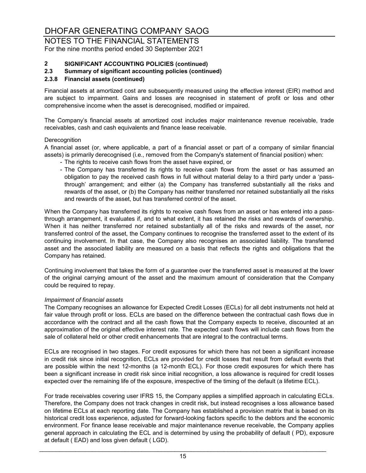NOTES TO THE FINANCIAL STATEMENTS For the nine months period ended 30 September 2021

# **2 SIGNIFICANT ACCOUNTING POLICIES (continued)**

#### **2.3 Summary of significant accounting policies (continued)**

#### **2.3.8 Financial assets (continued)**

Financial assets at amortized cost are subsequently measured using the effective interest (EIR) method and are subject to impairment. Gains and losses are recognised in statement of profit or loss and other comprehensive income when the asset is derecognised, modified or impaired.

The Company's financial assets at amortized cost includes major maintenance revenue receivable, trade receivables, cash and cash equivalents and finance lease receivable.

#### **Derecognition**

A financial asset (or, where applicable, a part of a financial asset or part of a company of similar financial assets) is primarily derecognised (i.e., removed from the Company's statement of financial position) when:

- The rights to receive cash flows from the asset have expired, or
- The Company has transferred its rights to receive cash flows from the asset or has assumed an obligation to pay the received cash flows in full without material delay to a third party under a 'passthrough' arrangement; and either (a) the Company has transferred substantially all the risks and rewards of the asset, or (b) the Company has neither transferred nor retained substantially all the risks and rewards of the asset, but has transferred control of the asset.

When the Company has transferred its rights to receive cash flows from an asset or has entered into a passthrough arrangement, it evaluates if, and to what extent, it has retained the risks and rewards of ownership. When it has neither transferred nor retained substantially all of the risks and rewards of the asset, nor transferred control of the asset, the Company continues to recognise the transferred asset to the extent of its continuing involvement. In that case, the Company also recognises an associated liability. The transferred asset and the associated liability are measured on a basis that reflects the rights and obligations that the Company has retained.

Continuing involvement that takes the form of a guarantee over the transferred asset is measured at the lower of the original carrying amount of the asset and the maximum amount of consideration that the Company could be required to repay.

#### *Impairment of financial assets*

The Company recognises an allowance for Expected Credit Losses (ECLs) for all debt instruments not held at fair value through profit or loss. ECLs are based on the difference between the contractual cash flows due in accordance with the contract and all the cash flows that the Company expects to receive, discounted at an approximation of the original effective interest rate. The expected cash flows will include cash flows from the sale of collateral held or other credit enhancements that are integral to the contractual terms.

ECLs are recognised in two stages. For credit exposures for which there has not been a significant increase in credit risk since initial recognition, ECLs are provided for credit losses that result from default events that are possible within the next 12-months (a 12-month ECL). For those credit exposures for which there has been a significant increase in credit risk since initial recognition, a loss allowance is required for credit losses expected over the remaining life of the exposure, irrespective of the timing of the default (a lifetime ECL).

For trade receivables covering user IFRS 15, the Company applies a simplified approach in calculating ECLs. Therefore, the Company does not track changes in credit risk, but instead recognises a loss allowance based on lifetime ECLs at each reporting date. The Company has established a provision matrix that is based on its historical credit loss experience, adjusted for forward-looking factors specific to the debtors and the economic environment. For finance lease receivable and major maintenance revenue receivable, the Company applies general approach in calculating the ECL and is determined by using the probability of default ( PD), exposure at default ( EAD) and loss given default ( LGD).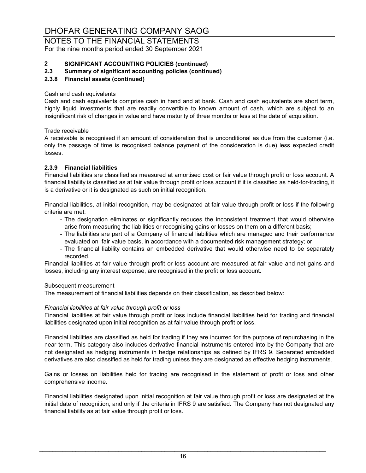#### NOTES TO THE FINANCIAL STATEMENTS For the nine months period ended 30 September 2021

# **2 SIGNIFICANT ACCOUNTING POLICIES (continued)**

#### **2.3 Summary of significant accounting policies (continued)**

#### **2.3.8 Financial assets (continued)**

#### Cash and cash equivalents

Cash and cash equivalents comprise cash in hand and at bank. Cash and cash equivalents are short term, highly liquid investments that are readily convertible to known amount of cash, which are subject to an insignificant risk of changes in value and have maturity of three months or less at the date of acquisition.

Trade receivable

A receivable is recognised if an amount of consideration that is unconditional as due from the customer (i.e. only the passage of time is recognised balance payment of the consideration is due) less expected credit losses.

#### **2.3.9 Financial liabilities**

Financial liabilities are classified as measured at amortised cost or fair value through profit or loss account. A financial liability is classified as at fair value through profit or loss account if it is classified as held-for-trading, it is a derivative or it is designated as such on initial recognition.

Financial liabilities, at initial recognition, may be designated at fair value through profit or loss if the following criteria are met:

- The designation eliminates or significantly reduces the inconsistent treatment that would otherwise arise from measuring the liabilities or recognising gains or losses on them on a different basis;
- The liabilities are part of a Company of financial liabilities which are managed and their performance evaluated on fair value basis, in accordance with a documented risk management strategy; or
- The financial liability contains an embedded derivative that would otherwise need to be separately recorded.

Financial liabilities at fair value through profit or loss account are measured at fair value and net gains and losses, including any interest expense, are recognised in the profit or loss account.

#### Subsequent measurement

The measurement of financial liabilities depends on their classification, as described below:

#### *Financial liabilities at fair value through profit or loss*

Financial liabilities at fair value through profit or loss include financial liabilities held for trading and financial liabilities designated upon initial recognition as at fair value through profit or loss.

Financial liabilities are classified as held for trading if they are incurred for the purpose of repurchasing in the near term. This category also includes derivative financial instruments entered into by the Company that are not designated as hedging instruments in hedge relationships as defined by IFRS 9. Separated embedded derivatives are also classified as held for trading unless they are designated as effective hedging instruments.

Gains or losses on liabilities held for trading are recognised in the statement of profit or loss and other comprehensive income.

Financial liabilities designated upon initial recognition at fair value through profit or loss are designated at the initial date of recognition, and only if the criteria in IFRS 9 are satisfied. The Company has not designated any financial liability as at fair value through profit or loss.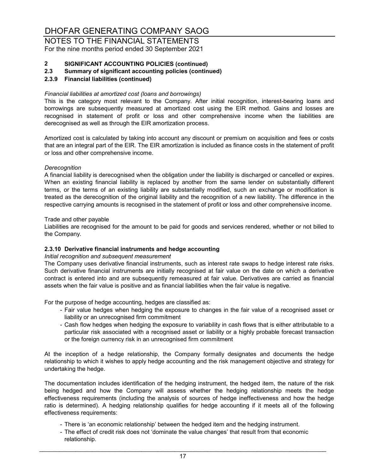NOTES TO THE FINANCIAL STATEMENTS For the nine months period ended 30 September 2021

# **2 SIGNIFICANT ACCOUNTING POLICIES (continued)**

**2.3 Summary of significant accounting policies (continued)**

#### **2.3.9 Financial liabilities (continued)**

#### *Financial liabilities at amortized cost (loans and borrowings)*

This is the category most relevant to the Company. After initial recognition, interest-bearing loans and borrowings are subsequently measured at amortized cost using the EIR method. Gains and losses are recognised in statement of profit or loss and other comprehensive income when the liabilities are derecognised as well as through the EIR amortization process.

Amortized cost is calculated by taking into account any discount or premium on acquisition and fees or costs that are an integral part of the EIR. The EIR amortization is included as finance costs in the statement of profit or loss and other comprehensive income.

#### *Derecognition*

A financial liability is derecognised when the obligation under the liability is discharged or cancelled or expires. When an existing financial liability is replaced by another from the same lender on substantially different terms, or the terms of an existing liability are substantially modified, such an exchange or modification is treated as the derecognition of the original liability and the recognition of a new liability. The difference in the respective carrying amounts is recognised in the statement of profit or loss and other comprehensive income.

#### Trade and other payable

Liabilities are recognised for the amount to be paid for goods and services rendered, whether or not billed to the Company.

#### **2.3.10 Derivative financial instruments and hedge accounting**

#### *Initial recognition and subsequent measurement*

The Company uses derivative financial instruments, such as interest rate swaps to hedge interest rate risks. Such derivative financial instruments are initially recognised at fair value on the date on which a derivative contract is entered into and are subsequently remeasured at fair value. Derivatives are carried as financial assets when the fair value is positive and as financial liabilities when the fair value is negative.

For the purpose of hedge accounting, hedges are classified as:

- Fair value hedges when hedging the exposure to changes in the fair value of a recognised asset or liability or an unrecognised firm commitment
- Cash flow hedges when hedging the exposure to variability in cash flows that is either attributable to a particular risk associated with a recognised asset or liability or a highly probable forecast transaction or the foreign currency risk in an unrecognised firm commitment

At the inception of a hedge relationship, the Company formally designates and documents the hedge relationship to which it wishes to apply hedge accounting and the risk management objective and strategy for undertaking the hedge.

The documentation includes identification of the hedging instrument, the hedged item, the nature of the risk being hedged and how the Company will assess whether the hedging relationship meets the hedge effectiveness requirements (including the analysis of sources of hedge ineffectiveness and how the hedge ratio is determined). A hedging relationship qualifies for hedge accounting if it meets all of the following effectiveness requirements:

- There is 'an economic relationship' between the hedged item and the hedging instrument.
- The effect of credit risk does not 'dominate the value changes' that result from that economic relationship.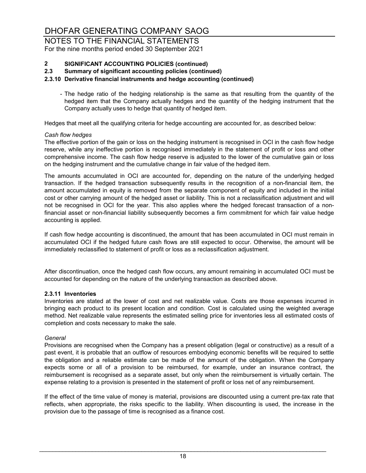NOTES TO THE FINANCIAL STATEMENTS For the nine months period ended 30 September 2021

# **2 SIGNIFICANT ACCOUNTING POLICIES (continued)**

**2.3 Summary of significant accounting policies (continued)**

#### **2.3.10 Derivative financial instruments and hedge accounting (continued)**

- The hedge ratio of the hedging relationship is the same as that resulting from the quantity of the hedged item that the Company actually hedges and the quantity of the hedging instrument that the Company actually uses to hedge that quantity of hedged item.

Hedges that meet all the qualifying criteria for hedge accounting are accounted for, as described below:

#### *Cash flow hedges*

The effective portion of the gain or loss on the hedging instrument is recognised in OCI in the cash flow hedge reserve, while any ineffective portion is recognised immediately in the statement of profit or loss and other comprehensive income. The cash flow hedge reserve is adjusted to the lower of the cumulative gain or loss on the hedging instrument and the cumulative change in fair value of the hedged item.

The amounts accumulated in OCI are accounted for, depending on the nature of the underlying hedged transaction. If the hedged transaction subsequently results in the recognition of a non-financial item, the amount accumulated in equity is removed from the separate component of equity and included in the initial cost or other carrying amount of the hedged asset or liability. This is not a reclassification adjustment and will not be recognised in OCI for the year. This also applies where the hedged forecast transaction of a nonfinancial asset or non-financial liability subsequently becomes a firm commitment for which fair value hedge accounting is applied.

If cash flow hedge accounting is discontinued, the amount that has been accumulated in OCI must remain in accumulated OCI if the hedged future cash flows are still expected to occur. Otherwise, the amount will be immediately reclassified to statement of profit or loss as a reclassification adjustment.

After discontinuation, once the hedged cash flow occurs, any amount remaining in accumulated OCI must be accounted for depending on the nature of the underlying transaction as described above.

#### **2.3.11 Inventories**

Inventories are stated at the lower of cost and net realizable value. Costs are those expenses incurred in bringing each product to its present location and condition. Cost is calculated using the weighted average method. Net realizable value represents the estimated selling price for inventories less all estimated costs of completion and costs necessary to make the sale.

#### *General*

Provisions are recognised when the Company has a present obligation (legal or constructive) as a result of a past event, it is probable that an outflow of resources embodying economic benefits will be required to settle the obligation and a reliable estimate can be made of the amount of the obligation. When the Company expects some or all of a provision to be reimbursed, for example, under an insurance contract, the reimbursement is recognised as a separate asset, but only when the reimbursement is virtually certain. The expense relating to a provision is presented in the statement of profit or loss net of any reimbursement.

If the effect of the time value of money is material, provisions are discounted using a current pre-tax rate that reflects, when appropriate, the risks specific to the liability. When discounting is used, the increase in the provision due to the passage of time is recognised as a finance cost.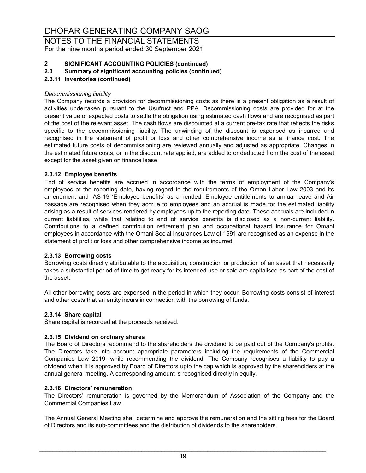NOTES TO THE FINANCIAL STATEMENTS For the nine months period ended 30 September 2021

# **2 SIGNIFICANT ACCOUNTING POLICIES (continued)**

**2.3 Summary of significant accounting policies (continued)**

#### **2.3.11 Inventories (continued)**

#### *Decommissioning liability*

The Company records a provision for decommissioning costs as there is a present obligation as a result of activities undertaken pursuant to the Usufruct and PPA. Decommissioning costs are provided for at the present value of expected costs to settle the obligation using estimated cash flows and are recognised as part of the cost of the relevant asset. The cash flows are discounted at a current pre-tax rate that reflects the risks specific to the decommissioning liability. The unwinding of the discount is expensed as incurred and recognised in the statement of profit or loss and other comprehensive income as a finance cost. The estimated future costs of decommissioning are reviewed annually and adjusted as appropriate. Changes in the estimated future costs, or in the discount rate applied, are added to or deducted from the cost of the asset except for the asset given on finance lease.

#### **2.3.12 Employee benefits**

End of service benefits are accrued in accordance with the terms of employment of the Company's employees at the reporting date, having regard to the requirements of the Oman Labor Law 2003 and its amendment and IAS-19 'Employee benefits' as amended. Employee entitlements to annual leave and Air passage are recognised when they accrue to employees and an accrual is made for the estimated liability arising as a result of services rendered by employees up to the reporting date. These accruals are included in current liabilities, while that relating to end of service benefits is disclosed as a non-current liability. Contributions to a defined contribution retirement plan and occupational hazard insurance for Omani employees in accordance with the Omani Social Insurances Law of 1991 are recognised as an expense in the statement of profit or loss and other comprehensive income as incurred.

#### **2.3.13 Borrowing costs**

Borrowing costs directly attributable to the acquisition, construction or production of an asset that necessarily takes a substantial period of time to get ready for its intended use or sale are capitalised as part of the cost of the asset.

All other borrowing costs are expensed in the period in which they occur. Borrowing costs consist of interest and other costs that an entity incurs in connection with the borrowing of funds.

#### **2.3.14 Share capital**

Share capital is recorded at the proceeds received.

#### **2.3.15 Dividend on ordinary shares**

The Board of Directors recommend to the shareholders the dividend to be paid out of the Company's profits. The Directors take into account appropriate parameters including the requirements of the Commercial Companies Law 2019, while recommending the dividend. The Company recognises a liability to pay a dividend when it is approved by Board of Directors upto the cap which is approved by the shareholders at the annual general meeting. A corresponding amount is recognised directly in equity.

#### **2.3.16 Directors' remuneration**

The Directors' remuneration is governed by the Memorandum of Association of the Company and the Commercial Companies Law.

The Annual General Meeting shall determine and approve the remuneration and the sitting fees for the Board of Directors and its sub-committees and the distribution of dividends to the shareholders.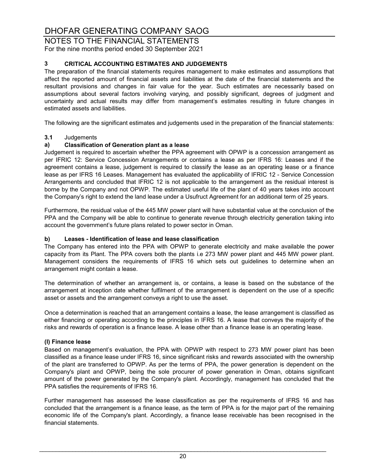NOTES TO THE FINANCIAL STATEMENTS For the nine months period ended 30 September 2021

### **3 CRITICAL ACCOUNTING ESTIMATES AND JUDGEMENTS**

The preparation of the financial statements requires management to make estimates and assumptions that affect the reported amount of financial assets and liabilities at the date of the financial statements and the resultant provisions and changes in fair value for the year. Such estimates are necessarily based on assumptions about several factors involving varying, and possibly significant, degrees of judgment and uncertainty and actual results may differ from management's estimates resulting in future changes in estimated assets and liabilities.

The following are the significant estimates and judgements used in the preparation of the financial statements:

# **3.1** Judgements

#### **a) Classification of Generation plant as a lease**

Judgement is required to ascertain whether the PPA agreement with OPWP is a concession arrangement as per IFRIC 12: Service Concession Arrangements or contains a lease as per IFRS 16: Leases and if the agreement contains a lease, judgement is required to classify the lease as an operating lease or a finance lease as per IFRS 16 Leases. Management has evaluated the applicability of IFRIC 12 - Service Concession Arrangements and concluded that IFRIC 12 is not applicable to the arrangement as the residual interest is borne by the Company and not OPWP. The estimated useful life of the plant of 40 years takes into account the Company's right to extend the land lease under a Usufruct Agreement for an additional term of 25 years.

Furthermore, the residual value of the 445 MW power plant will have substantial value at the conclusion of the PPA and the Company will be able to continue to generate revenue through electricity generation taking into account the government's future plans related to power sector in Oman.

#### **b) Leases - Identification of lease and lease classification**

The Company has entered into the PPA with OPWP to generate electricity and make available the power capacity from its Plant. The PPA covers both the plants i.e 273 MW power plant and 445 MW power plant. Management considers the requirements of IFRS 16 which sets out guidelines to determine when an arrangement might contain a lease.

The determination of whether an arrangement is, or contains, a lease is based on the substance of the arrangement at inception date whether fulfilment of the arrangement is dependent on the use of a specific asset or assets and the arrangement conveys a right to use the asset.

Once a determination is reached that an arrangement contains a lease, the lease arrangement is classified as either financing or operating according to the principles in IFRS 16. A lease that conveys the majority of the risks and rewards of operation is a finance lease. A lease other than a finance lease is an operating lease.

#### **(I) Finance lease**

Based on management's evaluation, the PPA with OPWP with respect to 273 MW power plant has been classified as a finance lease under IFRS 16, since significant risks and rewards associated with the ownership of the plant are transferred to OPWP. As per the terms of PPA, the power generation is dependent on the Company's plant and OPWP, being the sole procurer of power generation in Oman, obtains significant amount of the power generated by the Company's plant. Accordingly, management has concluded that the PPA satisfies the requirements of IFRS 16.

Further management has assessed the lease classification as per the requirements of IFRS 16 and has concluded that the arrangement is a finance lease, as the term of PPA is for the major part of the remaining economic life of the Company's plant. Accordingly, a finance lease receivable has been recognised in the financial statements.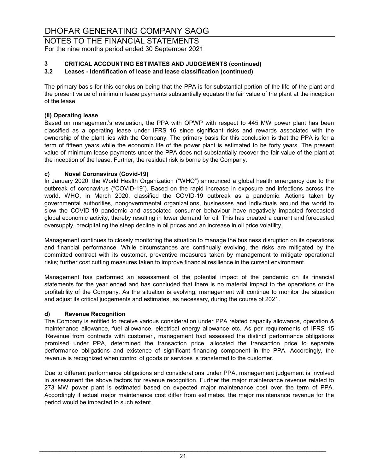NOTES TO THE FINANCIAL STATEMENTS For the nine months period ended 30 September 2021

# **3 CRITICAL ACCOUNTING ESTIMATES AND JUDGEMENTS (continued)**

#### **3.2 Leases - Identification of lease and lease classification (continued)**

The primary basis for this conclusion being that the PPA is for substantial portion of the life of the plant and the present value of minimum lease payments substantially equates the fair value of the plant at the inception of the lease.

#### **(II) Operating lease**

Based on management's evaluation, the PPA with OPWP with respect to 445 MW power plant has been classified as a operating lease under IFRS 16 since significant risks and rewards associated with the ownership of the plant lies with the Company. The primary basis for this conclusion is that the PPA is for a term of fifteen years while the economic life of the power plant is estimated to be forty years. The present value of minimum lease payments under the PPA does not substantially recover the fair value of the plant at the inception of the lease. Further, the residual risk is borne by the Company.

#### **c) Novel Coronavirus (Covid-19)**

In January 2020, the World Health Organization ("WHO") announced a global health emergency due to the outbreak of coronavirus ("COVID-19"). Based on the rapid increase in exposure and infections across the world, WHO, in March 2020, classified the COVID-19 outbreak as a pandemic. Actions taken by governmental authorities, nongovernmental organizations, businesses and individuals around the world to slow the COVID-19 pandemic and associated consumer behaviour have negatively impacted forecasted global economic activity, thereby resulting in lower demand for oil. This has created a current and forecasted oversupply, precipitating the steep decline in oil prices and an increase in oil price volatility.

Management continues to closely monitoring the situation to manage the business disruption on its operations and financial performance. While circumstances are continually evolving, the risks are mitigated by the committed contract with its customer, preventive measures taken by management to mitigate operational risks; further cost cutting measures taken to improve financial resilience in the current environment.

Management has performed an assessment of the potential impact of the pandemic on its financial statements for the year ended and has concluded that there is no material impact to the operations or the profitability of the Company. As the situation is evolving, management will continue to monitor the situation and adjust its critical judgements and estimates, as necessary, during the course of 2021.

#### **d) Revenue Recognition**

The Company is entitled to receive various consideration under PPA related capacity allowance, operation & maintenance allowance, fuel allowance, electrical energy allowance etc. As per requirements of IFRS 15 'Revenue from contracts with customer', management had assessed the distinct performance obligations promised under PPA, determined the transaction price, allocated the transaction price to separate performance obligations and existence of significant financing component in the PPA. Accordingly, the revenue is recognized when control of goods or services is transferred to the customer.

Due to different performance obligations and considerations under PPA, management judgement is involved in assessment the above factors for revenue recognition. Further the major maintenance revenue related to 273 MW power plant is estimated based on expected major maintenance cost over the term of PPA. Accordingly if actual major maintenance cost differ from estimates, the major maintenance revenue for the period would be impacted to such extent.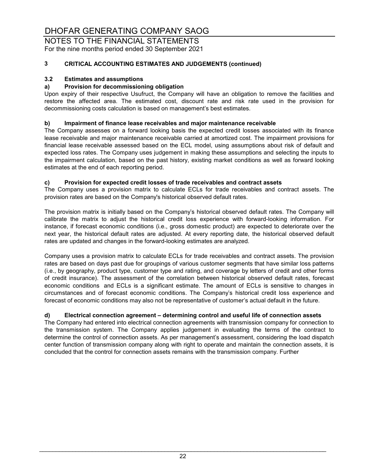NOTES TO THE FINANCIAL STATEMENTS For the nine months period ended 30 September 2021

### **3 CRITICAL ACCOUNTING ESTIMATES AND JUDGEMENTS (continued)**

#### **3.2 Estimates and assumptions**

#### **a) Provision for decommissioning obligation**

Upon expiry of their respective Usufruct, the Company will have an obligation to remove the facilities and restore the affected area. The estimated cost, discount rate and risk rate used in the provision for decommissioning costs calculation is based on management's best estimates.

#### **b) Impairment of finance lease receivables and major maintenance receivable**

The Company assesses on a forward looking basis the expected credit losses associated with its finance lease receivable and major maintenance receivable carried at amortized cost. The impairment provisions for financial lease receivable assessed based on the ECL model, using assumptions about risk of default and expected loss rates. The Company uses judgement in making these assumptions and selecting the inputs to the impairment calculation, based on the past history, existing market conditions as well as forward looking estimates at the end of each reporting period.

#### **c) Provision for expected credit losses of trade receivables and contract assets**

The Company uses a provision matrix to calculate ECLs for trade receivables and contract assets. The provision rates are based on the Company's historical observed default rates.

The provision matrix is initially based on the Company's historical observed default rates. The Company will calibrate the matrix to adjust the historical credit loss experience with forward-looking information. For instance, if forecast economic conditions (i.e., gross domestic product) are expected to deteriorate over the next year, the historical default rates are adjusted. At every reporting date, the historical observed default rates are updated and changes in the forward-looking estimates are analyzed.

Company uses a provision matrix to calculate ECLs for trade receivables and contract assets. The provision rates are based on days past due for groupings of various customer segments that have similar loss patterns (i.e., by geography, product type, customer type and rating, and coverage by letters of credit and other forms of credit insurance). The assessment of the correlation between historical observed default rates, forecast economic conditions and ECLs is a significant estimate. The amount of ECLs is sensitive to changes in circumstances and of forecast economic conditions. The Company's historical credit loss experience and forecast of economic conditions may also not be representative of customer's actual default in the future.

#### **d) Electrical connection agreement – determining control and useful life of connection assets**

The Company had entered into electrical connection agreements with transmission company for connection to the transmission system. The Company applies judgement in evaluating the terms of the contract to determine the control of connection assets. As per management's assessment, considering the load dispatch center function of transmission company along with right to operate and maintain the connection assets, it is concluded that the control for connection assets remains with the transmission company. Further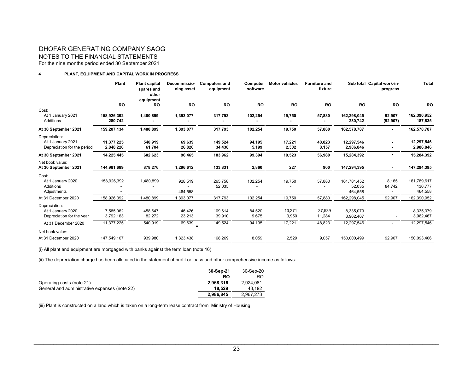NOTES TO THE FINANCIAL STATEMENTS

For the nine months period ended 30 September 2021

#### **4 PLANT, EQUIPMENT AND CAPITAL WORK IN PROGRESS**

|                                                                   | Plant                   | <b>Plant capital</b><br>spares and<br>other<br>equipment | Decommissio-<br>ning asset | <b>Computers and</b><br>equipment | Computer<br>software | <b>Motor vehicles</b> | <b>Furniture and</b><br>fixture |                                  | Sub total Capital work-in-<br>progress | <b>Total</b>                      |
|-------------------------------------------------------------------|-------------------------|----------------------------------------------------------|----------------------------|-----------------------------------|----------------------|-----------------------|---------------------------------|----------------------------------|----------------------------------------|-----------------------------------|
|                                                                   | <b>RO</b>               | <b>RO</b>                                                | <b>RO</b>                  | <b>RO</b>                         | <b>RO</b>            | <b>RO</b>             | <b>RO</b>                       | <b>RO</b>                        | <b>RO</b>                              | <b>RO</b>                         |
| Cost:<br>At 1 January 2021<br>Additions                           | 158,926,392<br>280,742  | 1,480,899                                                | 1,393,077                  | 317,793                           | 102,254              | 19,750                | 57,880                          | 162,298,045<br>280,742           | 92,907<br>(92, 907)                    | 162,390,952<br>187,835            |
| At 30 September 2021                                              | 159,207,134             | 1,480,899                                                | 1,393,077                  | 317,793                           | 102,254              | 19,750                | 57,880                          | 162,578,787                      |                                        | 162,578,787                       |
| Depreciation:<br>At 1 January 2021<br>Depreciation for the period | 11,377,225<br>2,848,220 | 540,919<br>61,704                                        | 69,639<br>26,826           | 149,524<br>34,438                 | 94,195<br>5,199      | 17,221<br>2,302       | 48,823<br>8,157                 | 12,297,546<br>2,986,846          |                                        | 12,297,546<br>2,986,846           |
| At 30 September 2021                                              | 14,225,445              | 602,623                                                  | 96,465                     | 183,962                           | 99,394               | 19,523                | 56.980                          | 15,284,392                       |                                        | 15,284,392                        |
| Net book value:<br>At 30 September 2021                           | 144,981,689             | 878,276                                                  | 1,296,612                  | 133,831                           | 2,860                | 227                   | 900                             | 147,294,395                      |                                        | 147,294,395                       |
| Cost:<br>At 1 January 2020<br><b>Additions</b><br>Adjustments     | 158,926,392             | 1,480,899                                                | 928,519<br>464,558         | 265,758<br>52,035                 | 102,254              | 19,750                | 57,880                          | 161,781,452<br>52,035<br>464,558 | 8,165<br>84,742                        | 161,789,617<br>136,777<br>464,558 |
| At 31 December 2020                                               | 158,926,392             | 1,480,899                                                | 1,393,077                  | 317,793                           | 102,254              | 19,750                | 57,880                          | 162,298,045                      | 92,907                                 | 162,390,952                       |
| Depreciation:<br>At 1 January 2020<br>Depreciation for the year   | 7,585,062<br>3,792,163  | 458,647<br>82,272                                        | 46,426<br>23,213           | 109,614<br>39,910                 | 84,520<br>9,675      | 13,271<br>3,950       | 37,539<br>11,284                | 8,335,079<br>3,962,467           |                                        | 8,335,079<br>3,962,467            |
| At 31 December 2020                                               | 11,377,225              | 540,919                                                  | 69.639                     | 149,524                           | 94.195               | 17.221                | 48.823                          | 12,297,546                       | $\sim$                                 | 12,297,546                        |
| Net book value:<br>At 31 December 2020                            | 147,549,167             | 939,980                                                  | 1,323,438                  | 168,269                           | 8,059                | 2,529                 | 9,057                           | 150,000,499                      | 92,907                                 | 150,093,406                       |

(i) All plant and equipment are mortgaged with banks against the term loan (note 16)

(ii) The depreciation charge has been allocated in the statement of profit or loass and other comprehensive income as follows:

|                                               | 30-Sep-21 | 30-Sep-20 |
|-----------------------------------------------|-----------|-----------|
|                                               | RO        | RO        |
| Operating costs (note 21)                     | 2.968.316 | 2.924.081 |
| General and administrative expenses (note 22) | 18.529    | 43.192    |
|                                               | 2.986.845 | 2.967.273 |

(iii) Plant is constructed on a land which is taken on a long-term lease contract from Ministry of Housing.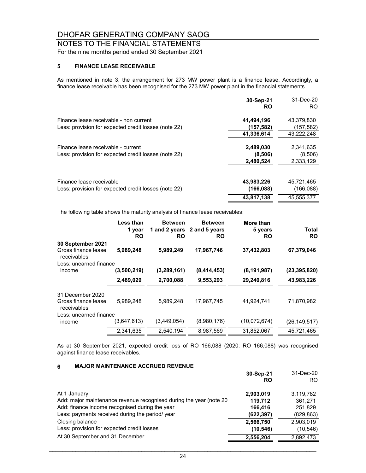NOTES TO THE FINANCIAL STATEMENTS

### For the nine months period ended 30 September 2021

### **5 FINANCE LEASE RECEIVABLE**

As mentioned in note 3, the arrangement for 273 MW power plant is a finance lease. Accordingly, a finance lease receivable has been recognised for the 273 MW power plant in the financial statements.

|                                                                                                | 30-Sep-21<br><b>RO</b>                          | 31-Dec-20<br>R <sub>O</sub>                     |
|------------------------------------------------------------------------------------------------|-------------------------------------------------|-------------------------------------------------|
| Finance lease receivable - non current<br>Less: provision for expected credit losses (note 22) | 41,494,196<br>(157, 582)                        | 43.379.830<br>(157,582)                         |
| Finance lease receivable - current<br>Less: provision for expected credit losses (note 22)     | 41,336,614<br>2,489,030<br>(8,506)<br>2,480,524 | 43,222,248<br>2,341,635<br>(8,506)<br>2,333,129 |
| Finance lease receivable<br>Less: provision for expected credit losses (note 22)               | 43,983,226<br>(166, 088)<br>43.817.138          | 45.721.465<br>(166, 088)<br>45.555.377          |

The following table shows the maturity analysis of finance lease receivables:

|                                    | Less than<br>1 year<br><b>RO</b> | <b>Between</b><br><b>RO</b> | <b>Between</b><br>1 and 2 years 2 and 5 years<br><b>RO</b> | More than<br>5 years<br>RO | Total<br><b>RO</b> |
|------------------------------------|----------------------------------|-----------------------------|------------------------------------------------------------|----------------------------|--------------------|
| 30 September 2021                  |                                  |                             |                                                            |                            |                    |
| Gross finance lease<br>receivables | 5,989,248                        | 5.989,249                   | 17,967,746                                                 | 37,432,803                 | 67,379,046         |
| Less: unearned finance             |                                  |                             |                                                            |                            |                    |
| income                             | (3,500,219)                      | (3,289,161)                 | (8,414,453)                                                | (8, 191, 987)              | (23, 395, 820)     |
|                                    | 2,489,029                        | 2,700,088                   | 9,553,293                                                  | 29,240,816                 | 43,983,226         |
| 31 December 2020                   |                                  |                             |                                                            |                            |                    |
| Gross finance lease<br>receivables | 5,989,248                        | 5,989,248                   | 17,967,745                                                 | 41,924,741                 | 71,870,982         |
| Less: unearned finance             |                                  |                             |                                                            |                            |                    |
| income                             | (3,647,613)                      | (3,449,054)                 | (8,980,176)                                                | (10,072,674)               | (26,149,517)       |
|                                    | 2,341,635                        | 2,540,194                   | 8,987,569                                                  | 31,852,067                 | 45,721,465         |

As at 30 September 2021, expected credit loss of RO 166,088 (2020: RO 166,088) was recognised against finance lease receivables.

#### **6 MAJOR MAINTENANCE ACCRUED REVENUE**

|                                                                    | 30-Sep-21<br>RO | 31-Dec-20<br>RO. |
|--------------------------------------------------------------------|-----------------|------------------|
| At 1 January                                                       | 2,903,019       | 3,119,782        |
| Add: major maintenance revenue recognised during the year (note 20 | 119.712         | 361.271          |
| Add: finance income recognised during the year                     | 166,416         | 251,829          |
| Less: payments received during the period/ year                    | (622, 397)      | (829, 863)       |
| Closing balance                                                    | 2,566,750       | 2,903,019        |
| Less: provision for expected credit losses                         | (10, 546)       | (10, 546)        |
| At 30 September and 31 December                                    | 2,556,204       | 2,892,473        |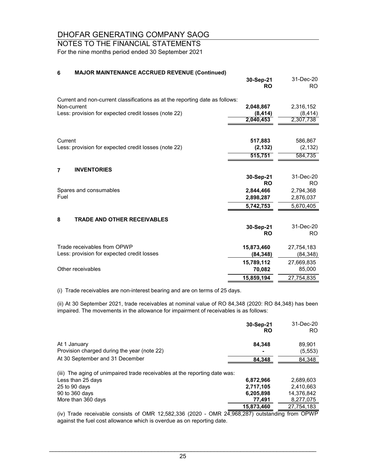## NOTES TO THE FINANCIAL STATEMENTS

For the nine months period ended 30 September 2021

#### **6 MAJOR MAINTENANCE ACCRUED REVENUE (Continued)**

|                                                                              | 30-Sep-21<br><b>RO</b> | 31-Dec-20<br>RO. |
|------------------------------------------------------------------------------|------------------------|------------------|
| Current and non-current classifications as at the reporting date as follows: |                        |                  |
| Non-current                                                                  | 2,048,867              | 2,316,152        |
| Less: provision for expected credit losses (note 22)                         | (8, 414)               | (8, 414)         |
|                                                                              | 2,040,453              | 2,307,738        |
|                                                                              |                        |                  |
| Current                                                                      | 517,883                | 586,867          |
| Less: provision for expected credit losses (note 22)                         | (2, 132)               | (2, 132)         |
|                                                                              | 515,751                | 584,735          |
| <b>INVENTORIES</b><br>$\overline{7}$                                         |                        |                  |
|                                                                              | 30-Sep-21              | 31-Dec-20        |
|                                                                              | <b>RO</b>              | RO.              |
| Spares and consumables                                                       | 2,844,466              | 2,794,368        |
| Fuel                                                                         | 2,898,287              | 2,876,037        |
|                                                                              | 5,742,753              | 5,670,405        |
| 8<br><b>TRADE AND OTHER RECEIVABLES</b>                                      |                        |                  |
|                                                                              | 30-Sep-21              | 31-Dec-20        |
|                                                                              | <b>RO</b>              | R <sub>O</sub>   |
| Trade receivables from OPWP                                                  | 15,873,460             | 27,754,183       |
| Less: provision for expected credit losses                                   | (84, 348)              | (84, 348)        |
|                                                                              | 15,789,112             | 27,669,835       |
| Other receivables                                                            | 70,082                 | 85,000           |
|                                                                              | 15,859,194             | 27,754,835       |

(i) Trade receivables are non-interest bearing and are on terms of 25 days.

(ii) At 30 September 2021, trade receivables at nominal value of RO 84,348 (2020: RO 84,348) has been impaired. The movements in the allowance for impairment of receivables is as follows:

|                                                                            | 30-Sep-21<br><b>RO</b>                           | 31-Dec-20<br>RO. |
|----------------------------------------------------------------------------|--------------------------------------------------|------------------|
| At 1 January                                                               | 84.348                                           | 89,901           |
| Provision charged during the year (note 22)                                |                                                  | (5, 553)         |
| At 30 September and 31 December                                            | 84,348                                           | 84,348           |
| (iii) The aging of unimpaired trade receivables at the reporting date was: |                                                  |                  |
| Less than 25 days                                                          | 6,872,966                                        | 2.689.603        |
| 25 to 90 days                                                              | 2,717,105                                        | 2.410.663        |
| 90 to 360 days                                                             | 6,205,898                                        | 14.376.842       |
| More than 360 days                                                         | 77.491                                           | 8,277,075        |
|                                                                            | 15,873,460<br>$\sim$ $\sim$ $\sim$ $\sim$ $\sim$ | 27,754,183       |

(iv) Trade receivable consists of OMR 12,582,336 (2020 - OMR 24,968,287) outstanding from OPWP against the fuel cost allowance which is overdue as on reporting date.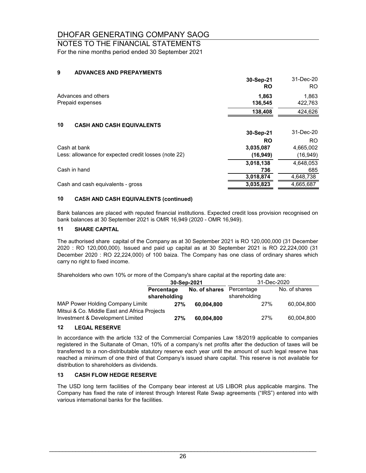## NOTES TO THE FINANCIAL STATEMENTS

For the nine months period ended 30 September 2021

#### **9 ADVANCES AND PREPAYMENTS**

|                                                      | 30-Sep-21<br><b>RO</b> | 31-Dec-20<br>RO. |
|------------------------------------------------------|------------------------|------------------|
| Advances and others                                  | 1,863                  | 1,863            |
| Prepaid expenses                                     | 136,545                | 422,763          |
|                                                      | 138,408                | 424,626          |
| 10<br><b>CASH AND CASH EQUIVALENTS</b>               |                        |                  |
|                                                      | 30-Sep-21              | 31-Dec-20        |
|                                                      | <b>RO</b>              | RO.              |
| Cash at bank                                         | 3.035.087              | 4,665,002        |
| Less: allowance for expected credit losses (note 22) | (16, 949)              | (16,949)         |
|                                                      | 3,018,138              | 4,648,053        |
| Cash in hand                                         | 736                    | 685              |
|                                                      | 3,018,874              | 4,648,738        |
| Cash and cash equivalents - gross                    | 3,035,823              | 4,665,687        |

#### **10 CASH AND CASH EQUIVALENTS (continued)**

Bank balances are placed with reputed financial institutions. Expected credit loss provision recognised on bank balances at 30 September 2021 is OMR 16,949 (2020 - OMR 16,949).

#### **11 SHARE CAPITAL**

The authorised share capital of the Company as at 30 September 2021 is RO 120,000,000 (31 December 2020 : RO 120,000,000). Issued and paid up capital as at 30 September 2021 is RO 22,224,000 (31 December 2020 : RO 22,224,000) of 100 baiza. The Company has one class of ordinary shares which carry no right to fixed income.

Shareholders who own 10% or more of the Company's share capital at the reporting date are:

|                                                                                  | 30-Sep-2021                |               | 31-Dec-2020                |               |
|----------------------------------------------------------------------------------|----------------------------|---------------|----------------------------|---------------|
|                                                                                  | Percentage<br>shareholding | No. of shares | Percentage<br>shareholding | No. of shares |
| MAP Power Holding Company Limite<br>Mitsui & Co. Middle East and Africa Projects | 27%                        | 60.004.800    | 27%                        | 60.004.800    |
| Investment & Development Limited                                                 | 27%                        | 60.004.800    | 27%                        | 60.004.800    |

#### **12 LEGAL RESERVE**

In accordance with the article 132 of the Commercial Companies Law 18/2019 applicable to companies registered in the Sultanate of Oman, 10% of a company's net profits after the deduction of taxes will be transferred to a non-distributable statutory reserve each year until the amount of such legal reserve has reached a minimum of one third of that Company's issued share capital. This reserve is not available for distribution to shareholders as dividends.

#### **13 CASH FLOW HEDGE RESERVE**

The USD long term facilities of the Company bear interest at US LIBOR plus applicable margins. The Company has fixed the rate of interest through Interest Rate Swap agreements ("IRS") entered into with various international banks for the facilities.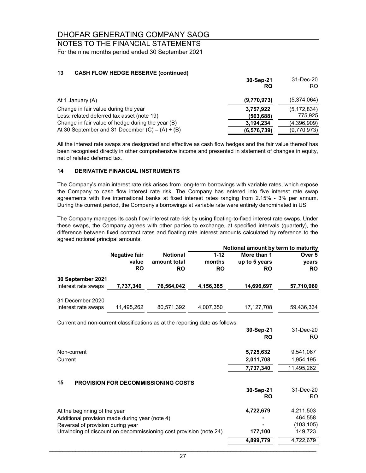#### NOTES TO THE FINANCIAL STATEMENTS For the nine months period ended 30 September 2021

#### **13 CASH FLOW HEDGE RESERVE (continued)**

|                                                   | 30-Sep-21<br><b>RO</b> | 31-Dec-20<br>RO. |
|---------------------------------------------------|------------------------|------------------|
| At 1 January (A)                                  | (9,770,973)            | (5,374,064)      |
| Change in fair value during the year              | 3,757,922              | (5, 172, 834)    |
| Less: related deferred tax asset (note 19)        | (563,688)              | 775,925          |
| Change in fair value of hedge during the year (B) | 3,194,234              | (4,396,909)      |
| At 30 September and 31 December $(C) = (A) + (B)$ | (6,576,739)            | (9,770,973)      |

All the interest rate swaps are designated and effective as cash flow hedges and the fair value thereof has been recognised directly in other comprehensive income and presented in statement of changes in equity, net of related deferred tax.

#### **14 DERIVATIVE FINANCIAL INSTRUMENTS**

The Company's main interest rate risk arises from long-term borrowings with variable rates, which expose the Company to cash flow interest rate risk. The Company has entered into five interest rate swap agreements with five international banks at fixed interest rates ranging from 2.15% - 3% per annum. During the current period, the Company's borrowings at variable rate were entirely denominated in US

The Company manages its cash flow interest rate risk by using floating-to-fixed interest rate swaps. Under these swaps, the Company agrees with other parties to exchange, at specified intervals (quarterly), the difference between fixed contract rates and floating rate interest amounts calculated by reference to the agreed notional principal amounts.

|                                                                              | Notional amount by term to maturity        |                                              |                                 |                                           |                              |
|------------------------------------------------------------------------------|--------------------------------------------|----------------------------------------------|---------------------------------|-------------------------------------------|------------------------------|
|                                                                              | <b>Negative fair</b><br>value<br><b>RO</b> | <b>Notional</b><br>amount total<br><b>RO</b> | $1 - 12$<br>months<br><b>RO</b> | More than 1<br>up to 5 years<br><b>RO</b> | Over 5<br>years<br><b>RO</b> |
| 30 September 2021                                                            |                                            |                                              |                                 |                                           |                              |
| Interest rate swaps                                                          | 7,737,340                                  | 76,564,042                                   | 4,156,385                       | 14,696,697                                | 57,710,960                   |
| 31 December 2020<br>Interest rate swaps                                      | 11,495,262                                 | 80,571,392                                   | 4,007,350                       | 17,127,708                                | 59,436,334                   |
|                                                                              |                                            |                                              |                                 |                                           |                              |
| Current and non-current classifications as at the reporting date as follows; |                                            |                                              |                                 |                                           |                              |
|                                                                              |                                            |                                              |                                 | 30-Sep-21                                 | 31-Dec-20                    |
|                                                                              |                                            |                                              |                                 | <b>RO</b>                                 | RO.                          |
|                                                                              |                                            |                                              |                                 |                                           |                              |
| Non-current                                                                  |                                            |                                              |                                 | 5,725,632                                 | 9,541,067                    |
| Current                                                                      |                                            |                                              |                                 | 2,011,708                                 | 1,954,195                    |
|                                                                              |                                            |                                              |                                 | 7,737,340                                 | 11,495,262                   |
|                                                                              |                                            |                                              |                                 |                                           |                              |
| 15                                                                           |                                            | <b>PROVISION FOR DECOMMISSIONING COSTS</b>   |                                 | 30-Sep-21                                 | 31-Dec-20                    |
|                                                                              |                                            |                                              |                                 | <b>RO</b>                                 | RO.                          |
| At the beginning of the year                                                 |                                            |                                              |                                 | 4,722,679                                 | 4,211,503                    |

Additional provision made during year (note 4) **-** 464,558 Reversal of provision during year **-** (103,105) Unwinding of discount on decommissioning cost provision (note 24) **177,100** 149,723

 **4,899,779** 4,722,679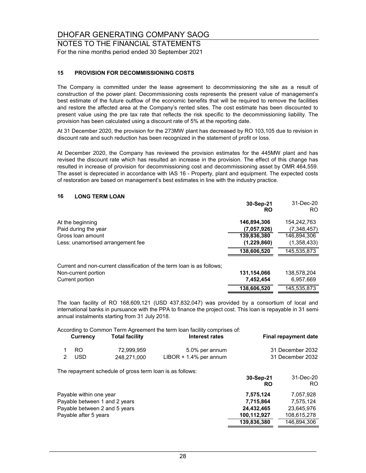NOTES TO THE FINANCIAL STATEMENTS For the nine months period ended 30 September 2021

#### **15 PROVISION FOR DECOMMISSIONING COSTS**

The Company is committed under the lease agreement to decommissioning the site as a result of construction of the power plant. Decommissioning costs represents the present value of management's best estimate of the future outflow of the economic benefits that will be required to remove the facilities and restore the affected area at the Company's rented sites. The cost estimate has been discounted to present value using the pre tax rate that reflects the risk specific to the decommissioning liability. The provision has been calculated using a discount rate of 5% at the reporting date.

At 31 December 2020, the provision for the 273MW plant has decreased by RO 103,105 due to revision in discount rate and such reduction has been recognized in the statement of profit or loss.

At December 2020, the Company has reviewed the provision estimates for the 445MW plant and has revised the discount rate which has resulted an increase in the provision. The effect of this change has resulted in increase of provision for decommissioning cost and decommissioning asset by OMR 464,559. The asset is depreciated in accordance with IAS 16 - Property, plant and equipment. The expected costs of restoration are based on management's best estimates in line with the industry practice.

#### **16 LONG TERM LOAN**

|                                                                        | 30-Sep-21<br><b>RO</b> | 31-Dec-20<br>R <sub>O</sub> |
|------------------------------------------------------------------------|------------------------|-----------------------------|
| At the beginning                                                       | 146,894,306            | 154,242,763                 |
| Paid during the year                                                   | (7,057,926)            | (7,348,457)                 |
| Gross loan amount                                                      | 139,836,380            | 146,894,306                 |
| Less: unamortised arrangement fee                                      | (1,229,860)            | (1,358,433)                 |
|                                                                        | 138,606,520            | 145,535,873                 |
| Current and non-current classification of the term loan is as follows; |                        |                             |
| Non-current portion                                                    | 131,154,066            | 138,578,204                 |
| Current portion                                                        | 7,452,454              | 6,957,669                   |
|                                                                        | 138,606,520            | 145.535.873                 |

The loan facility of RO 168,609,121 (USD 437,832,047) was provided by a consortium of local and international banks in pursuance with the PPA to finance the project cost. This loan is repayable in 31 semiannual instalments starting from 31 July 2018.

According to Common Term Agreement the term loan facility comprises of:

| Currency | <b>Total facility</b> | Interest rates            | Final repayment date |
|----------|-----------------------|---------------------------|----------------------|
| -RO      | 72.999.959            | 5.0% per annum            | 31 December 2032     |
| -USD     | 248.271.000           | $LIBOR + 1.4\%$ per annum | 31 December 2032     |

The repayment schedule of gross term loan is as follows:

|                               | 30-Sep-21<br>RO | 31-Dec-20<br>RO. |
|-------------------------------|-----------------|------------------|
| Payable within one year       | 7,575,124       | 7.057.928        |
| Payable between 1 and 2 years | 7,715,864       | 7.575.124        |
| Payable between 2 and 5 years | 24.432.465      | 23,645,976       |
| Payable after 5 years         | 100,112,927     | 108,615,278      |
|                               | 139,836,380     | 146.894.306      |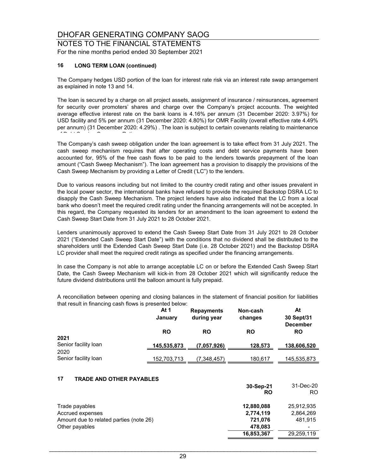NOTES TO THE FINANCIAL STATEMENTS For the nine months period ended 30 September 2021

#### **16 LONG TERM LOAN (continued)**

The Company hedges USD portion of the loan for interest rate risk via an interest rate swap arrangement as explained in note 13 and 14.

The loan is secured by a charge on all project assets, assignment of insurance / reinsurances, agreement for security over promoters' shares and charge over the Company's project accounts. The weighted average effective interest rate on the bank loans is 4.16% per annum (31 December 2020: 3.97%) for USD facility and 5% per annum (31 December 2020: 4.80%) for OMR Facility (overall effective rate 4.49% per annum) (31 December 2020: 4.29%) . The loan is subject to certain covenants relating to maintenance  $\mathbf{f} = \mathbf{f} \cdot \mathbf{f} \cdot \mathbf{f} \cdot \mathbf{f} \cdot \mathbf{f} \cdot \mathbf{f} \cdot \mathbf{f} \cdot \mathbf{f} \cdot \mathbf{f} \cdot \mathbf{f} \cdot \mathbf{f} \cdot \mathbf{f} \cdot \mathbf{f} \cdot \mathbf{f} \cdot \mathbf{f} \cdot \mathbf{f} \cdot \mathbf{f} \cdot \mathbf{f} \cdot \mathbf{f} \cdot \mathbf{f} \cdot \mathbf{f} \cdot \mathbf{f} \cdot \mathbf{f} \cdot \mathbf{f} \cdot \mathbf{f} \cdot \mathbf{f} \cdot \mathbf{f$ 

The Company's cash sweep obligation under the loan agreement is to take effect from 31 July 2021. The cash sweep mechanism requires that after operating costs and debt service payments have been accounted for, 95% of the free cash flows to be paid to the lenders towards prepayment of the loan amount ("Cash Sweep Mechanism"). The loan agreement has a provision to disapply the provisions of the Cash Sweep Mechanism by providing a Letter of Credit ('LC") to the lenders.

Due to various reasons including but not limited to the country credit rating and other issues prevalent in the local power sector, the international banks have refused to provide the required Backstop DSRA LC to disapply the Cash Sweep Mechanism. The project lenders have also indicated that the LC from a local bank who doesn't meet the required credit rating under the financing arrangements will not be accepted. In this regard, the Company requested its lenders for an amendment to the loan agreement to extend the Cash Sweep Start Date from 31 July 2021 to 28 October 2021.

Lenders unanimously approved to extend the Cash Sweep Start Date from 31 July 2021 to 28 October 2021 ("Extended Cash Sweep Start Date") with the conditions that no dividend shall be distributed to the shareholders until the Extended Cash Sweep Start Date (i.e. 28 October 2021) and the Backstop DSRA LC provider shall meet the required credit ratings as specified under the financing arrangements.

In case the Company is not able to arrange acceptable LC on or before the Extended Cash Sweep Start Date, the Cash Sweep Mechanism will kick-in from 28 October 2021 which will significantly reduce the future dividend distributions until the balloon amount is fully prepaid.

A reconciliation between opening and closing balances in the statement of financial position for liabilities that result in financing cash flows is presented below:

|                              | At 1<br>January    | <b>Repayments</b><br>during year | Non-cash<br>changes | At<br>30 Sept/31<br><b>December</b> |
|------------------------------|--------------------|----------------------------------|---------------------|-------------------------------------|
|                              | <b>RO</b>          | <b>RO</b>                        | <b>RO</b>           | <b>RO</b>                           |
| 2021<br>Senior facility loan | 145,535,873        | (7,057,926)                      | 128,573             | 138,606,520                         |
| 2020<br>Senior facility loan | <u>152,703,713</u> | (7,348,457)                      | 180,617             | <u>145,535,873</u>                  |

#### **17 TRADE AND OTHER PAYABLES**

|                                         | 30-Sep-21<br>RO | 31-Dec-20<br>RO |
|-----------------------------------------|-----------------|-----------------|
| Trade payables                          | 12,880,088      | 25,912,935      |
| Accrued expenses                        | 2,774,119       | 2,864,269       |
| Amount due to related parties (note 26) | 721,076         | 481.915         |
| Other payables                          | 478,083         |                 |
|                                         | 16,853,367      | 29,259,119      |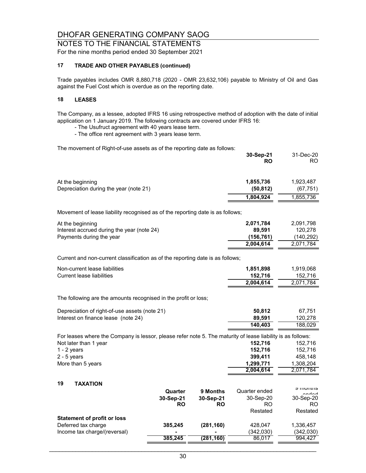NOTES TO THE FINANCIAL STATEMENTS

For the nine months period ended 30 September 2021

#### **17 TRADE AND OTHER PAYABLES (continued)**

Trade payables includes OMR 8,880,718 (2020 - OMR 23,632,106) payable to Ministry of Oil and Gas against the Fuel Cost which is overdue as on the reporting date.

#### **18 LEASES**

The Company, as a lessee, adopted IFRS 16 using retrospective method of adoption with the date of initial application on 1 January 2019. The following contracts are covered under IFRS 16:

- The Usufruct agreement with 40 years lease term.

- The office rent agreement with 3 years lease term.

The movement of Right-of-use assets as of the reporting date as follows:

|                                                                                                             |           |            | 30-Sep-21<br><b>RO</b> | 31-Dec-20<br>RO.       |
|-------------------------------------------------------------------------------------------------------------|-----------|------------|------------------------|------------------------|
| At the beginning<br>Depreciation during the year (note 21)                                                  |           |            | 1,855,736<br>(50, 812) | 1,923,487<br>(67, 751) |
|                                                                                                             |           |            | 1,804,924              | 1,855,736              |
| Movement of lease liability recognised as of the reporting date is as follows;                              |           |            |                        |                        |
| At the beginning                                                                                            |           |            | 2,071,784              | 2,091,798              |
| Interest accrued during the year (note 24)                                                                  |           |            | 89,591                 | 120,278                |
| Payments during the year                                                                                    |           |            | (156, 761)             | (140, 292)             |
|                                                                                                             |           |            | 2,004,614              | 2,071,784              |
| Current and non-current classification as of the reporting date is as follows;                              |           |            |                        |                        |
| Non-current lease liabilities                                                                               |           |            | 1,851,898              | 1,919,068              |
| <b>Current lease liabilities</b>                                                                            |           |            | 152,716                | 152,716                |
|                                                                                                             |           |            | 2,004,614              | 2,071,784              |
| The following are the amounts recognised in the profit or loss;                                             |           |            |                        |                        |
| Depreciation of right-of-use assets (note 21)                                                               |           |            | 50,812                 | 67,751                 |
| Interest on finance lease (note 24)                                                                         |           |            | 89,591                 | 120,278                |
|                                                                                                             |           |            | 140,403                | 188,029                |
| For leases where the Company is lessor, please refer note 5. The maturity of lease liability is as follows: |           |            |                        |                        |
| Not later than 1 year                                                                                       |           |            | 152,716                | 152,716                |
| $1 - 2$ years                                                                                               |           |            | 152,716                | 152,716                |
| $2 - 5$ years                                                                                               |           |            | 399,411                | 458,148                |
| More than 5 years                                                                                           |           |            | 1,299,771<br>2,004,614 | 1,308,204<br>2,071,784 |
|                                                                                                             |           |            |                        |                        |
| 19<br><b>TAXATION</b>                                                                                       |           |            |                        |                        |
|                                                                                                             | Quarter   | 9 Months   | Quarter ended          | טווויטוווט             |
|                                                                                                             | 30-Sep-21 | 30-Sep-21  | 30-Sep-20              | 30-Sep-20              |
|                                                                                                             | <b>RO</b> | <b>RO</b>  | <b>RO</b>              | RO.                    |
|                                                                                                             |           |            | Restated               | Restated               |
| <b>Statement of profit or loss</b><br>Deferred tax charge                                                   | 385,245   | (281, 160) | 428,047                | 1,336,457              |
| Income tax charge/(reversal)                                                                                |           |            | (342, 030)             | (342,030)              |
|                                                                                                             | 385,245   | (281, 160) | 86,017                 | 994,427                |
|                                                                                                             |           |            |                        |                        |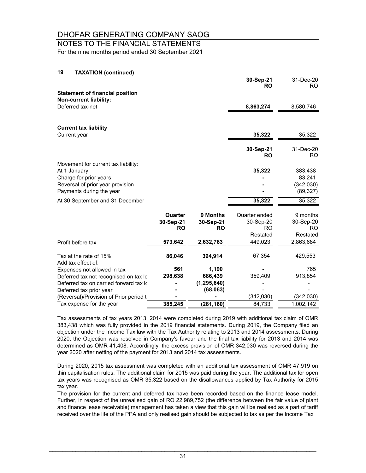## NOTES TO THE FINANCIAL STATEMENTS

For the nine months period ended 30 September 2021

| 19<br><b>TAXATION (continued)</b>                                |           |               |                  |                     |
|------------------------------------------------------------------|-----------|---------------|------------------|---------------------|
|                                                                  |           |               | 30-Sep-21<br>RO. | 31-Dec-20<br>RO.    |
| <b>Statement of financial position</b><br>Non-current liability: |           |               |                  |                     |
| Deferred tax-net                                                 |           |               | 8,863,274        | 8,580,746           |
|                                                                  |           |               |                  |                     |
| <b>Current tax liability</b>                                     |           |               |                  |                     |
| Current year                                                     |           |               | 35,322           | 35,322              |
|                                                                  |           |               | 30-Sep-21        | 31-Dec-20           |
|                                                                  |           |               | <b>RO</b>        | <b>RO</b>           |
| Movement for current tax liability:                              |           |               |                  |                     |
| At 1 January                                                     |           |               | 35,322           | 383,438             |
| Charge for prior years<br>Reversal of prior year provision       |           |               |                  | 83,241<br>(342,030) |
| Payments during the year                                         |           |               |                  | (89, 327)           |
| At 30 September and 31 December                                  |           |               | 35,322           | 35,322              |
|                                                                  |           |               |                  |                     |
|                                                                  | Quarter   | 9 Months      | Quarter ended    | 9 months            |
|                                                                  | 30-Sep-21 | 30-Sep-21     | 30-Sep-20        | 30-Sep-20           |
|                                                                  | <b>RO</b> | <b>RO</b>     | <b>RO</b>        | <b>RO</b>           |
|                                                                  |           |               | Restated         | Restated            |
| Profit before tax                                                | 573,642   | 2,632,763     | 449,023          | 2,863,684           |
| Tax at the rate of 15%                                           | 86,046    | 394,914       | 67,354           | 429,553             |
| Add tax effect of:                                               |           |               |                  |                     |
| Expenses not allowed in tax                                      | 561       | 1,190         |                  | 765                 |
| Deferred tax not recognised on tax Ic                            | 298,638   | 686,439       | 359,409          | 913,854             |
| Deferred tax on carried forward tax k                            |           | (1, 295, 640) |                  |                     |
| Deferred tax prior year                                          |           | (68,063)      |                  |                     |
| (Reversal)/Provision of Prior period t                           |           |               | (342, 030)       | (342, 030)          |
| Tax expense for the year                                         | 385,245   | (281,160)     | 84,733           | 1,002,142           |

Tax assessments of tax years 2013, 2014 were completed during 2019 with additional tax claim of OMR 383,438 which was fully provided in the 2019 financial statements. During 2019, the Company filed an objection under the Income Tax law with the Tax Authority relating to 2013 and 2014 assessments. During 2020, the Objection was resolved in Company's favour and the final tax liability for 2013 and 2014 was determined as OMR 41,408. Accordingly, the excess provision of OMR 342,030 was reversed during the year 2020 after netting of the payment for 2013 and 2014 tax assessments.

During 2020, 2015 tax assessment was completed with an additional tax assessment of OMR 47,919 on thin capitalisation rules. The additional claim for 2015 was paid during the year. The additional tax for open tax years was recognised as OMR 35,322 based on the disallowances applied by Tax Authority for 2015 tax year.

The provision for the current and deferred tax have been recorded based on the finance lease model. Further, in respect of the unrealised gain of RO 22,989,752 (the difference between the fair value of plant and finance lease receivable) management has taken a view that this gain will be realised as a part of tariff received over the life of the PPA and only realised gain should be subjected to tax as per the Income Tax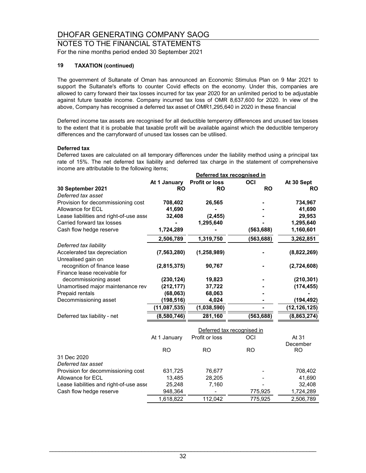#### NOTES TO THE FINANCIAL STATEMENTS For the nine months period ended 30 September 2021

#### **19 TAXATION (continued)**

The government of Sultanate of Oman has announced an Economic Stimulus Plan on 9 Mar 2021 to support the Sultanate's efforts to counter Covid effects on the economy. Under this, companies are allowed to carry forward their tax losses incurred for tax year 2020 for an unlimited period to be adjustable against future taxable income. Company incurred tax loss of OMR 8,637,600 for 2020. In view of the above, Company has recognised a deferred tax asset of OMR1,295,640 in 2020 in these financial

Deferred income tax assets are recognised for all deductible temperory differences and unused tax losses to the extent that it is probable that taxable profit will be available against which the deductible temperory differences and the carryforward of unused tax losses can be utilised.

#### **Deferred tax**

Deferred taxes are calculated on all temporary differences under the liability method using a principal tax rate of 15%. The net deferred tax liability and deferred tax charge in the statement of comprehensive income are attributable to the following items;

|                                                              | Deferred tax recognised in |                       |                            |                       |  |
|--------------------------------------------------------------|----------------------------|-----------------------|----------------------------|-----------------------|--|
|                                                              | At 1 January               | <b>Profit or loss</b> | OCI                        | At 30 Sept            |  |
| 30 September 2021                                            | <b>RO</b>                  | <b>RO</b>             | <b>RO</b>                  | <b>RO</b>             |  |
| Deferred tax asset                                           |                            |                       |                            |                       |  |
| Provision for decommissioning cost                           | 708,402                    | 26,565                |                            | 734,967               |  |
| Allowance for ECL                                            | 41,690                     |                       |                            | 41,690                |  |
| Lease liabilities and right-of-use asse                      | 32,408                     | (2, 455)              |                            | 29,953                |  |
| Carried forward tax losses                                   |                            | 1,295,640             |                            | 1,295,640             |  |
| Cash flow hedge reserve                                      | 1,724,289                  |                       | (563, 688)                 | 1,160,601             |  |
|                                                              | 2,506,789                  | 1,319,750             | (563, 688)                 | 3,262,851             |  |
| Deferred tax liability                                       |                            |                       |                            |                       |  |
| Accelerated tax depreciation<br>Unrealised gain on           | (7, 563, 280)              | (1, 258, 989)         |                            | (8,822,269)           |  |
| recognition of finance lease<br>Finance lease receivable for | (2,815,375)                | 90,767                |                            | (2,724,608)           |  |
| decommissioning asset                                        | (230, 124)                 | 19,823                |                            | (210, 301)            |  |
| Unamortised major maintenance rev                            | (212, 177)                 | 37,722                |                            | (174, 455)            |  |
| Prepaid rentals                                              | (68,063)                   | 68,063                |                            |                       |  |
| Decommissioning asset                                        | (198, 516)                 | 4,024                 |                            | (194, 492)            |  |
|                                                              | (11,087,535)               | (1,038,590)           |                            | (12,126,125)          |  |
| Deferred tax liability - net                                 | (8,580,746)                | 281,160               | (563,688)                  | (8,863,274)           |  |
|                                                              |                            |                       | Deferred tax recognised in |                       |  |
|                                                              | At 1 January               | Profit or loss        | OCI                        | At 31                 |  |
|                                                              | <b>RO</b>                  | <b>RO</b>             | <b>RO</b>                  | December<br><b>RO</b> |  |
| 31 Dec 2020                                                  |                            |                       |                            |                       |  |
| Deferred tax asset                                           |                            |                       |                            |                       |  |
| Provision for decommissioning cost                           | 631,725                    | 76,677                |                            | 708,402               |  |
| Allowance for ECL                                            | 13,485                     | 28,205                |                            | 41,690                |  |
| Lease liabilities and right-of-use asse                      | 25,248                     | 7,160                 |                            | 32,408                |  |
| Cash flow hedge reserve                                      | 948,364                    |                       | 775,925                    | 1,724,289             |  |

1,618,822 112,042 775,925 2,506,789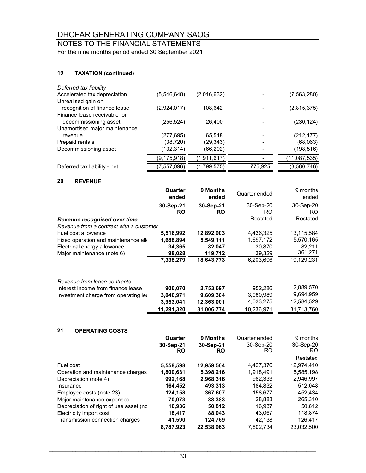### NOTES TO THE FINANCIAL STATEMENTS

For the nine months period ended 30 September 2021

#### **19 TAXATION (continued)**

| Deferred tax liability        |               |             |         |              |
|-------------------------------|---------------|-------------|---------|--------------|
| Accelerated tax depreciation  | (5,546,648)   | (2,016,632) |         | (7,563,280)  |
| Unrealised gain on            |               |             |         |              |
| recognition of finance lease  | (2,924,017)   | 108,642     |         | (2,815,375)  |
| Finance lease receivable for  |               |             |         |              |
| decommissioning asset         | (256,524)     | 26,400      |         | (230, 124)   |
| Unamortised major maintenance |               |             |         |              |
| revenue                       | (277,695)     | 65,518      |         | (212, 177)   |
| Prepaid rentals               | (38,720)      | (29,343)    |         | (68,063)     |
| Decommissioning asset         | (132,314)     | (66,202)    |         | (198,516)    |
|                               | (9, 175, 918) | (1,911,617) |         | (11,087,535) |
| Deferred tax liability - net  | (7, 557, 096) | (1,799,575) | 775,925 | (8,580,746)  |
|                               |               |             |         |              |

#### **20 REVENUE**

|                                                                    | Quarter<br>ended       | 9 Months<br>ended      | Quarter ended    | 9 months<br>ended |
|--------------------------------------------------------------------|------------------------|------------------------|------------------|-------------------|
|                                                                    | 30-Sep-21<br><b>RO</b> | 30-Sep-21<br><b>RO</b> | 30-Sep-20<br>RO. | 30-Sep-20<br>RO.  |
| Revenue recognised over time                                       |                        |                        | Restated         | Restated          |
| Revenue from a contract with a customer                            |                        |                        |                  |                   |
| Fuel cost allowance                                                | 5.516.992              | 12,892,903             | 4,436,325        | 13,115,584        |
| Fixed operation and maintenance all                                | 1,688,894              | 5,549,111              | 1,697,172        | 5,570,165         |
| Electrical energy allowance                                        | 34,365                 | 82.047                 | 30.870           | 82.211            |
| Major maintenance (note 6)                                         | 98,028                 | 119,712                | 39,329           | 361,271           |
|                                                                    | 7,338,279              | 18,643,773             | 6,203,696        | 19,129,231        |
| Revenue from lease contracts<br>Interest income from finance lease | 906,070                | 2,753,697              | 952.286          | 2,889,570         |

|                                      | 11,291,320 | 31.006.774 | 10,236,971 | 31.713.760 |
|--------------------------------------|------------|------------|------------|------------|
|                                      | 3.953.041  | 12.363.001 | 4.033.275  | 12,584,529 |
| Investment charge from operating lea | 3,046,971  | 9.609.304  | 3,080,989  | 9.694.959  |

#### **21 OPERATING COSTS**

|                                         | Quarter   | 9 Months   | Quarter ended | 9 months   |
|-----------------------------------------|-----------|------------|---------------|------------|
|                                         | 30-Sep-21 | 30-Sep-21  | 30-Sep-20     | 30-Sep-20  |
|                                         | <b>RO</b> | <b>RO</b>  | RO.           | RO.        |
|                                         |           |            |               | Restated   |
| Fuel cost                               | 5,558,598 | 12,959,504 | 4,427,376     | 12,974,410 |
| Operation and maintenance charges       | 1,800,631 | 5.398.216  | 1,918,491     | 5,585,198  |
| Depreciation (note 4)                   | 992,168   | 2,968,316  | 982.333       | 2,946,997  |
| Insurance                               | 164,452   | 493.313    | 184,832       | 512,048    |
| Employee costs (note 23)                | 124,158   | 367,607    | 158,677       | 452.434    |
| Major maintenance expenses              | 70.973    | 88.383     | 28.883        | 265,310    |
| Depreciation of right of use asset (nc. | 16,936    | 50,812     | 16.937        | 50,812     |
| Electricity import cost                 | 18.417    | 88.043     | 43.067        | 118,874    |
| Transmission connection charges         | 41.590    | 124.769    | 42,138        | 126,417    |
|                                         | 8,787,923 | 22,538,963 | 7.802.734     | 23,032,500 |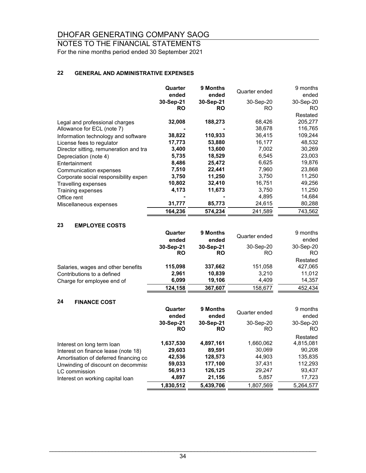#### NOTES TO THE FINANCIAL STATEMENTS For the nine months period ended 30 September 2021

#### **22 GENERAL AND ADMINISTRATIVE EXPENSES**

|                                        | Quarter<br>ended | 9 Months<br>ended | Quarter ended | 9 months<br>ended |
|----------------------------------------|------------------|-------------------|---------------|-------------------|
|                                        | 30-Sep-21        | 30-Sep-21         | 30-Sep-20     | 30-Sep-20         |
|                                        | <b>RO</b>        | <b>RO</b>         | RO.           | RO.               |
|                                        |                  |                   |               | Restated          |
| Legal and professional charges         | 32,008           | 188,273           | 68,426        | 205,277           |
| Allowance for ECL (note 7)             |                  |                   | 38,678        | 116,765           |
| Information technology and software    | 38,822           | 110,933           | 36,415        | 109,244           |
| License fees to regulator              | 17,773           | 53,880            | 16,177        | 48,532            |
| Director sitting, remuneration and tra | 3,400            | 13,600            | 7,002         | 30,269            |
| Depreciation (note 4)                  | 5,735            | 18,529            | 6,545         | 23,003            |
| Entertainment                          | 8,486            | 25,472            | 6,625         | 19,876            |
| Communication expenses                 | 7,510            | 22,441            | 7,960         | 23,868            |
| Corporate social responsibility expen  | 3,750            | 11,250            | 3,750         | 11,250            |
| Travelling expenses                    | 10,802           | 32,410            | 16,751        | 49,256            |
| Training expenses                      | 4,173            | 11,673            | 3,750         | 11,250            |
| Office rent                            |                  |                   | 4,895         | 14,684            |
| Miscellaneous expenses                 | 31,777           | 85,773            | 24,615        | 80,288            |
|                                        | 164,236          | 574,234           | 241,589       | 743,562           |

#### **23 EMPLOYEE COSTS**

|                                    | Quarter<br>ended | 9 Months<br>ended | Quarter ended | 9 months<br>ended |
|------------------------------------|------------------|-------------------|---------------|-------------------|
|                                    | 30-Sep-21        | 30-Sep-21         | 30-Sep-20     | 30-Sep-20         |
|                                    | <b>RO</b>        | <b>RO</b>         | RO            | RO.               |
|                                    |                  |                   |               | Restated          |
| Salaries, wages and other benefits | 115,098          | 337,662           | 151,058       | 427,065           |
| Contributions to a defined         | 2,961            | 10,839            | 3.210         | 11,012            |
| Charge for employee end of         | 6,099            | 19.106            | 4.409         | 14,357            |
|                                    | 124,158          | 367,607           | 158,677       | 452,434           |

#### **24 FINANCE COST**

|                                       | Quarter<br>ended       | 9 Months<br>ended      | Quarter ended   | 9 months<br>ended |
|---------------------------------------|------------------------|------------------------|-----------------|-------------------|
|                                       | 30-Sep-21<br><b>RO</b> | 30-Sep-21<br><b>RO</b> | 30-Sep-20<br>RO | 30-Sep-20<br>RO.  |
|                                       |                        |                        |                 | Restated          |
| Interest on long term loan            | 1,637,530              | 4,897,161              | 1,660,062       | 4,815,081         |
| Interest on finance lease (note 18)   | 29,603                 | 89,591                 | 30,069          | 90,208            |
| Amortisation of deferred financing co | 42,536                 | 128,573                | 44,903          | 135,835           |
| Unwinding of discount on decommiss    | 59,033                 | 177,100                | 37,431          | 112,293           |
| LC commission                         | 56,913                 | 126,125                | 29,247          | 93,437            |
| Interest on working capital loan      | 4,897                  | 21,156                 | 5,857           | 17,723            |
|                                       | 1,830,512              | 5,439,706              | 1,807,569       | 5,264,577         |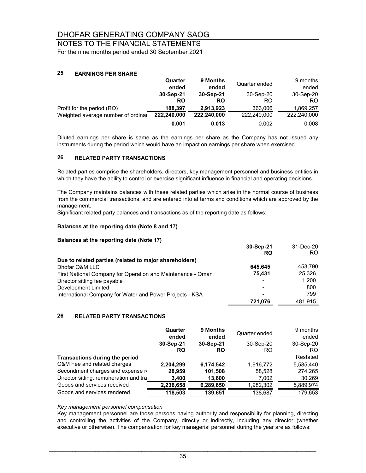#### NOTES TO THE FINANCIAL STATEMENTS For the nine months period ended 30 September 2021

#### **25 EARNINGS PER SHARE**

|                                    | Quarter<br>ended       | 9 Months<br>ended | Quarter ended   | 9 months<br>ended |
|------------------------------------|------------------------|-------------------|-----------------|-------------------|
|                                    | 30-Sep-21<br><b>RO</b> | 30-Sep-21<br>RO   | 30-Sep-20<br>RO | 30-Sep-20<br>RO.  |
| Profit for the period (RO)         | 188.397                | 2,913,923         | 363,006         | 1,869,257         |
| Weighted average number of ordinal | 222,240,000            | 222,240,000       | 222,240,000     | 222,240,000       |
|                                    | 0.001                  | 0.013             | 0.002           | 0.008             |

Diluted earnings per share is same as the earnings per share as the Company has not issued any instruments during the period which would have an impact on earnings per share when exercised.

#### **26 RELATED PARTY TRANSACTIONS**

Related parties comprise the shareholders, directors, key management personnel and business entities in which they have the ability to control or exercise significant influence in financial and operating decisions.

The Company maintains balances with these related parties which arise in the normal course of business from the commercial transactions, and are entered into at terms and conditions which are approved by the management.

Significant related party balances and transactions as of the reporting date as follows:

#### **Balances at the reporting date (Note 8 and 17)**

#### **Balances at the reporting date (Note 17)**

|                                                             | 30-Sep-21 | 31-Dec-20 |
|-------------------------------------------------------------|-----------|-----------|
|                                                             | <b>RO</b> | RO.       |
| Due to related parties (related to major shareholders)      |           |           |
| Dhofar O&M LLC                                              | 645.645   | 453.790   |
| First National Company for Operation and Maintenance - Oman | 75.431    | 25.326    |
| Director sitting fee payable                                |           | 1,200     |
| Development Limited                                         |           | 800       |
| International Company for Water and Power Projects - KSA    | ۰         | 799       |
|                                                             | 721.076   | 481.915   |

#### **26 RELATED PARTY TRANSACTIONS**

|                                        | Quarter<br>ended | 9 Months<br>ended | Quarter ended | 9 months<br>ended |
|----------------------------------------|------------------|-------------------|---------------|-------------------|
|                                        | 30-Sep-21        | 30-Sep-21         | 30-Sep-20     | 30-Sep-20         |
|                                        | <b>RO</b>        | <b>RO</b>         | <b>RO</b>     | RO.               |
| Transactions during the period         |                  |                   |               | Restated          |
| O&M Fee and related charges            | 2,204,299        | 6,174,542         | 1,916,772     | 5,585,440         |
| Secondment charges and expense re      | 28.959           | 101,508           | 58,528        | 274,265           |
| Director sitting, remuneration and tra | 3,400            | 13,600            | 7,002         | 30,269            |
| Goods and services received            | 2,236,658        | 6,289,650         | 1,982,302     | 5,889,974         |
| Goods and services rendered            | 118,503          | 139,651           | 138,687       | 179,653           |

#### *Key management personnel compensation*

Key management personnel are those persons having authority and responsibility for planning, directing and controlling the activities of the Company, directly or indirectly, including any director (whether executive or otherwise). The compensation for key managerial personnel during the year are as follows: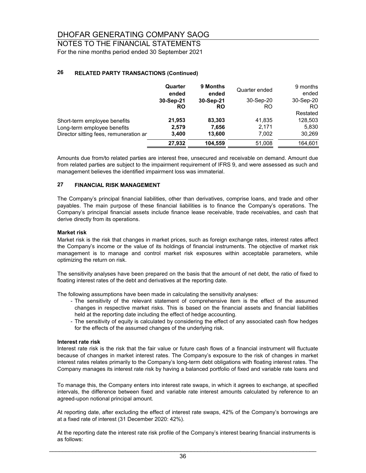NOTES TO THE FINANCIAL STATEMENTS For the nine months period ended 30 September 2021

#### **26 RELATED PARTY TRANSACTIONS (Continued)**

|                                        | Quarter<br>ended | 9 Months<br>ended | Quarter ended | 9 months<br>ended |
|----------------------------------------|------------------|-------------------|---------------|-------------------|
|                                        | 30-Sep-21        | 30-Sep-21         | 30-Sep-20     | 30-Sep-20         |
|                                        | <b>RO</b>        | <b>RO</b>         | RO            | RO.               |
|                                        |                  |                   |               | Restated          |
| Short-term employee benefits           | 21,953           | 83,303            | 41,835        | 128,503           |
| Long-term employee benefits            | 2,579            | 7,656             | 2.171         | 5,830             |
| Director sitting fees, remuneration ar | 3,400            | 13,600            | 7,002         | 30,269            |
|                                        | 27,932           | 104,559           | 51,008        | 164,601           |

Amounts due from/to related parties are interest free, unsecured and receivable on demand. Amount due from related parties are subject to the impairment requirement of IFRS 9, and were assessed as such and management believes the identified impairment loss was immaterial.

#### **27 FINANCIAL RISK MANAGEMENT**

The Company's principal financial liabilities, other than derivatives, comprise loans, and trade and other payables. The main purpose of these financial liabilities is to finance the Company's operations. The Company's principal financial assets include finance lease receivable, trade receivables, and cash that derive directly from its operations.

#### **Market risk**

Market risk is the risk that changes in market prices, such as foreign exchange rates, interest rates affect the Company's income or the value of its holdings of financial instruments. The objective of market risk management is to manage and control market risk exposures within acceptable parameters, while optimizing the return on risk.

The sensitivity analyses have been prepared on the basis that the amount of net debt, the ratio of fixed to floating interest rates of the debt and derivatives at the reporting date.

The following assumptions have been made in calculating the sensitivity analyses:

- The sensitivity of the relevant statement of comprehensive item is the effect of the assumed changes in respective market risks. This is based on the financial assets and financial liabilities held at the reporting date including the effect of hedge accounting.
- The sensitivity of equity is calculated by considering the effect of any associated cash flow hedges for the effects of the assumed changes of the underlying risk.

#### **Interest rate risk**

Interest rate risk is the risk that the fair value or future cash flows of a financial instrument will fluctuate because of changes in market interest rates. The Company's exposure to the risk of changes in market interest rates relates primarily to the Company's long-term debt obligations with floating interest rates. The Company manages its interest rate risk by having a balanced portfolio of fixed and variable rate loans and

To manage this, the Company enters into interest rate swaps, in which it agrees to exchange, at specified intervals, the difference between fixed and variable rate interest amounts calculated by reference to an agreed-upon notional principal amount.

At reporting date, after excluding the effect of interest rate swaps, 42% of the Company's borrowings are at a fixed rate of interest (31 December 2020: 42%).

At the reporting date the interest rate risk profile of the Company's interest bearing financial instruments is as follows: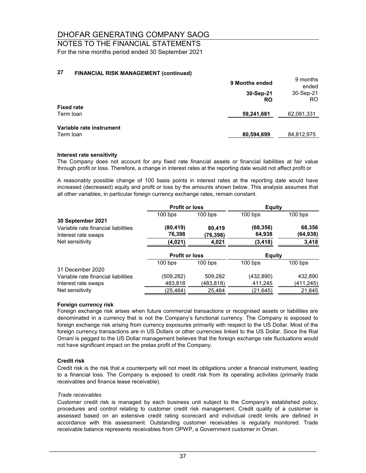### NOTES TO THE FINANCIAL STATEMENTS For the nine months period ended 30 September 2021

#### **27 FINANCIAL RISK MANAGEMENT (continued)**

|                                | 9 Months ended         | 9 months<br>ended |
|--------------------------------|------------------------|-------------------|
|                                | 30-Sep-21<br><b>RO</b> | 30-Sep-21<br>RO.  |
| <b>Fixed rate</b><br>Term loan | 59,241,681             | 62,081,331        |
| Variable rate instrument       |                        |                   |
| Term loan                      | 80,594,699             | 84,812,975        |

#### **Interest rate sensitivity**

The Company does not account for any fixed rate financial assets or financial liabilities at fair value through profit or loss. Therefore, a change in interest rates at the reporting date would not affect profit or

A reasonably possible change of 100 basis points in interest rates at the reporting date would have increased (decreased) equity and profit or loss by the amounts shown below. This analysis assumes that all other variables, in particular foreign currency exchange rates, remain constant.

|                                     | <b>Profit or loss</b> |           | <b>Equity</b> |           |
|-------------------------------------|-----------------------|-----------|---------------|-----------|
|                                     | $100$ bps             | $100$ bps | $100$ bps     | $100$ bps |
| 30 September 2021                   |                       |           |               |           |
| Variable rate financial liabilities | (80, 419)             | 80,419    | (68, 356)     | 68,356    |
| Interest rate swaps                 | 76,398                | (76,398)  | 64,938        | (64,938)  |
| Net sensitivity                     | (4,021)               | 4,021     | (3, 418)      | 3,418     |
|                                     | <b>Profit or loss</b> |           | <b>Equity</b> |           |
|                                     | $100$ bps             | $100$ bps | $100$ bps     | $100$ bps |
| 31 December 2020                    |                       |           |               |           |
| Variable rate financial liabilities | (509,282)             | 509,282   | (432, 890)    | 432,890   |
| Interest rate swaps                 | 483,818               | (483,818) | 411,245       | (411,245) |
| Net sensitivity                     | (25,464)              | 25,464    | (21,645)      | 21,645    |

#### **Foreign currency risk**

Foreign exchange risk arises when future commercial transactions or recognised assets or liabilities are denominated in a currency that is not the Company's functional currency. The Company is exposed to foreign exchange risk arising from currency exposures primarily with respect to the US Dollar. Most of the foreign currency transactions are in US Dollars or other currencies linked to the US Dollar. Since the Rial Omani is pegged to the US Dollar management believes that the foreign exchange rate fluctuations would not have significant impact on the pretax profit of the Company.

#### **Credit risk**

Credit risk is the risk that a counterparty will not meet its obligations under a financial instrument, leading to a financial loss. The Company is exposed to credit risk from its operating activities (primarily trade receivables and finance lease receivable).

#### *Trade receivables*

Customer credit risk is managed by each business unit subject to the Company's established policy, procedures and control relating to customer credit risk management. Credit quality of a customer is assessed based on an extensive credit rating scorecard and individual credit limits are defined in accordance with this assessment. Outstanding customer receivables is regularly monitored. Trade receivable balance represents receivables from OPWP, a Government customer in Oman.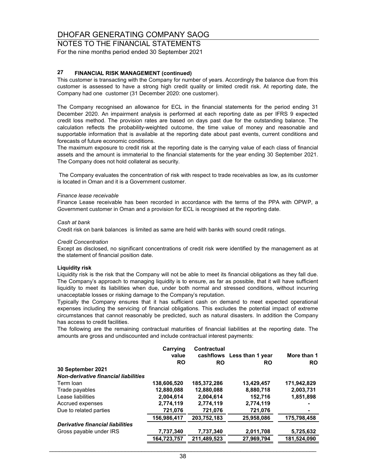### NOTES TO THE FINANCIAL STATEMENTS For the nine months period ended 30 September 2021

#### **27 FINANCIAL RISK MANAGEMENT (continued)**

This customer is transacting with the Company for number of years. Accordingly the balance due from this customer is assessed to have a strong high credit quality or limited credit risk. At reporting date, the Company had one customer (31 December 2020: one customer).

The Company recognised an allowance for ECL in the financial statements for the period ending 31 December 2020. An impairment analysis is performed at each reporting date as per IFRS 9 expected credit loss method. The provision rates are based on days past due for the outstanding balance. The calculation reflects the probability-weighted outcome, the time value of money and reasonable and supportable information that is available at the reporting date about past events, current conditions and forecasts of future economic conditions.

The maximum exposure to credit risk at the reporting date is the carrying value of each class of financial assets and the amount is immaterial to the financial statements for the year ending 30 September 2021. The Company does not hold collateral as security.

The Company evaluates the concentration of risk with respect to trade receivables as low, as its customer is located in Oman and it is a Government customer.

#### *Finance lease receivable*

Finance Lease receivable has been recorded in accordance with the terms of the PPA with OPWP, a Government customer in Oman and a provision for ECL is recognised at the reporting date.

#### *Cash at bank*

Credit risk on bank balances is limited as same are held with banks with sound credit ratings.

#### *Credit Concentration*

Except as disclosed, no significant concentrations of credit risk were identified by the management as at the statement of financial position date.

#### **Liquidity risk**

Liquidity risk is the risk that the Company will not be able to meet its financial obligations as they fall due. The Company's approach to managing liquidity is to ensure, as far as possible, that it will have sufficient liquidity to meet its liabilities when due, under both normal and stressed conditions, without incurring unacceptable losses or risking damage to the Company's reputation.

Typically the Company ensures that it has sufficient cash on demand to meet expected operational expenses including the servicing of financial obligations. This excludes the potential impact of extreme circumstances that cannot reasonably be predicted, such as natural disasters. In addition the Company has access to credit facilities.

The following are the remaining contractual maturities of financial liabilities at the reporting date. The amounts are gross and undiscounted and include contractual interest payments:

|                                             | Carrying<br>value | <b>Contractual</b><br>cashflows | Less than 1 year | More than 1 |
|---------------------------------------------|-------------------|---------------------------------|------------------|-------------|
|                                             | <b>RO</b>         | <b>RO</b>                       | <b>RO</b>        | <b>RO</b>   |
| 30 September 2021                           |                   |                                 |                  |             |
| <b>Non-derivative financial liabilities</b> |                   |                                 |                  |             |
| Term Ioan                                   | 138,606,520       | 185,372,286                     | 13,429,457       | 171,942,829 |
| Trade payables                              | 12,880,088        | 12,880,088                      | 8,880,718        | 2,003,731   |
| Lease liabilities                           | 2,004,614         | 2,004,614                       | 152,716          | 1,851,898   |
| Accrued expenses                            | 2,774,119         | 2,774,119                       | 2,774,119        |             |
| Due to related parties                      | 721,076           | 721,076                         | 721,076          |             |
|                                             | 156,986,417       | 203,752,183                     | 25,958,086       | 175,798,458 |
| Derivative financial liabilities            |                   |                                 |                  |             |
| Gross payable under IRS                     | 7,737,340         | 7,737,340                       | 2,011,708        | 5,725,632   |
|                                             | 164,723,757       | 211,489,523                     | 27,969,794       | 181,524,090 |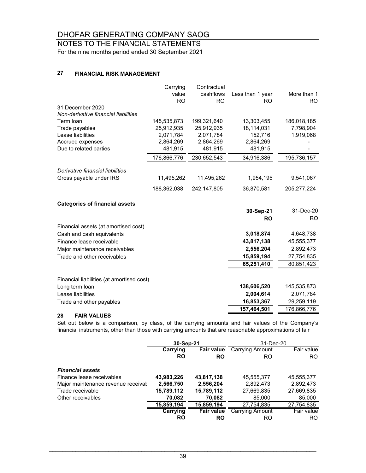NOTES TO THE FINANCIAL STATEMENTS For the nine months period ended 30 September 2021

#### **27 FINANCIAL RISK MANAGEMENT**

|                                           | Carrying<br>value<br><b>RO</b> | Contractual<br>cashflows<br><b>RO</b> | Less than 1 year<br><b>RO</b> | More than 1<br><b>RO</b> |
|-------------------------------------------|--------------------------------|---------------------------------------|-------------------------------|--------------------------|
| 31 December 2020                          |                                |                                       |                               |                          |
| Non-derivative financial liabilities      |                                |                                       |                               |                          |
| Term loan                                 | 145,535,873                    | 199,321,640                           | 13,303,455                    | 186,018,185              |
| Trade payables                            | 25,912,935                     | 25,912,935                            | 18,114,031                    | 7,798,904                |
| Lease liabilities                         | 2,071,784                      | 2,071,784                             | 152,716                       | 1,919,068                |
| Accrued expenses                          | 2,864,269                      | 2,864,269                             | 2,864,269                     |                          |
| Due to related parties                    | 481,915                        | 481,915                               | 481,915                       |                          |
|                                           | 176,866,776                    | 230,652,543                           | 34,916,386                    | 195,736,157              |
| Derivative financial liabilities          |                                |                                       |                               |                          |
| Gross payable under IRS                   | 11,495,262                     | 11,495,262                            | 1,954,195                     | 9,541,067                |
|                                           | 188,362,038                    | 242, 147, 805                         | 36,870,581                    | 205, 277, 224            |
| <b>Categories of financial assets</b>     |                                |                                       |                               |                          |
|                                           |                                |                                       | 30-Sep-21                     | 31-Dec-20                |
|                                           |                                |                                       | <b>RO</b>                     | <b>RO</b>                |
| Financial assets (at amortised cost)      |                                |                                       |                               |                          |
| Cash and cash equivalents                 |                                |                                       | 3,018,874                     | 4,648,738                |
| Finance lease receivable                  |                                |                                       | 43,817,138                    | 45,555,377               |
| Major maintenance receivables             |                                |                                       | 2,556,204                     | 2,892,473                |
| Trade and other receivables               |                                |                                       | 15,859,194                    | 27,754,835               |
|                                           |                                |                                       | 65,251,410                    | 80,851,423               |
|                                           |                                |                                       |                               |                          |
| Financial liabilities (at amortised cost) |                                |                                       |                               |                          |
| Long term loan                            |                                |                                       | 138,606,520                   | 145,535,873              |
| Lease liabilities                         |                                |                                       | 2,004,614                     | 2,071,784                |
| Trade and other payables                  |                                |                                       | 16,853,367                    | 29,259,119               |
|                                           |                                |                                       | 157,464,501                   | 176,866,776              |

#### **28 FAIR VALUES**

Set out below is a comparison, by class, of the carrying amounts and fair values of the Company's financial instruments, other than those with carrying amounts that are reasonable approximations of fair

|                                    | 30-Sep-21  |                   | 31-Dec-20              |            |
|------------------------------------|------------|-------------------|------------------------|------------|
|                                    | Carrying   | <b>Fair value</b> | <b>Carrying Amount</b> | Fair value |
|                                    | <b>RO</b>  | <b>RO</b>         | <b>RO</b>              | RO.        |
| <b>Financial assets</b>            |            |                   |                        |            |
| Finance lease receivables          | 43,983,226 | 43,817,138        | 45,555,377             | 45,555,377 |
| Major maintenance revenue receival | 2,566,750  | 2,556,204         | 2,892,473              | 2,892,473  |
| Trade receivable                   | 15,789,112 | 15,789,112        | 27,669,835             | 27,669,835 |
| Other receivables                  | 70,082     | 70,082            | 85,000                 | 85,000     |
|                                    | 15,859,194 | 15,859,194        | 27.754.835             | 27,754,835 |
|                                    | Carrying   | <b>Fair value</b> | <b>Carrying Amount</b> | Fair value |
|                                    | <b>RO</b>  | RO                | RO                     | RO.        |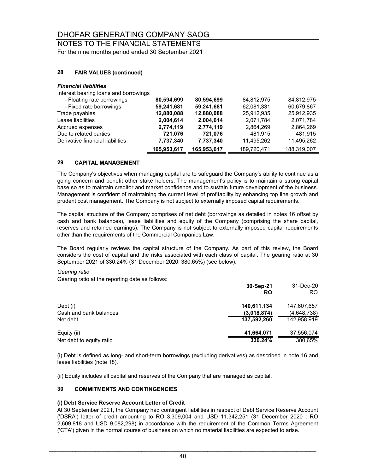## NOTES TO THE FINANCIAL STATEMENTS

For the nine months period ended 30 September 2021

#### **28 FAIR VALUES (continued)**

#### *Financial liabilities*

Interest bearing loans and borrowings

| - Floating rate borrowings       | 80,594,699  | 80,594,699  | 84,812,975  | 84,812,975  |
|----------------------------------|-------------|-------------|-------------|-------------|
| - Fixed rate borrowings          | 59,241,681  | 59,241,681  | 62,081,331  | 60,679,867  |
| Trade payables                   | 12,880,088  | 12,880,088  | 25,912,935  | 25,912,935  |
| Lease liabilities                | 2,004,614   | 2,004,614   | 2,071,784   | 2.071.784   |
| Accrued expenses                 | 2,774,119   | 2,774,119   | 2,864,269   | 2,864,269   |
| Due to related parties           | 721,076     | 721.076     | 481.915     | 481.915     |
| Derivative financial liabilities | 7,737,340   | 7,737,340   | 11,495,262  | 11,495,262  |
|                                  | 165,953,617 | 165,953,617 | 189,720,471 | 188,319,007 |

#### **29 CAPITAL MANAGEMENT**

The Company's objectives when managing capital are to safeguard the Company's ability to continue as a going concern and benefit other stake holders. The management's policy is to maintain a strong capital base so as to maintain creditor and market confidence and to sustain future development of the business. Management is confident of maintaining the current level of profitability by enhancing top line growth and prudent cost management. The Company is not subject to externally imposed capital requirements.

The capital structure of the Company comprises of net debt (borrowings as detailed in notes 16 offset by cash and bank balances), lease liabilities and equity of the Company (comprising the share capital, reserves and retained earnings). The Company is not subject to externally imposed capital requirements other than the requirements of the Commercial Companies Law.

The Board regularly reviews the capital structure of the Company. As part of this review, the Board considers the cost of capital and the risks associated with each class of capital. The gearing ratio at 30 September 2021 of 330.24% (31 December 2020: 380.65%) (see below).

#### *Gearing ratio*

Gearing ratio at the reporting date as follows:

|                          | 30-Sep-21<br><b>RO</b> | 31-Dec-20<br>RO. |
|--------------------------|------------------------|------------------|
| Debt (i)                 | 140,611,134            | 147,607,657      |
| Cash and bank balances   | (3,018,874)            | (4,648,738)      |
| Net debt                 | 137.592.260            | 142.958.919      |
| Equity (ii)              | 41,664,071             | 37,556,074       |
| Net debt to equity ratio | 330.24%                | 380.65%          |
|                          |                        |                  |

(i) Debt is defined as long- and short-term borrowings (excluding derivatives) as described in note 16 and lease liabilities (note 18).

(ii) Equity includes all capital and reserves of the Company that are managed as capital.

#### **30 COMMITMENTS AND CONTINGENCIES**

#### **(i) Debt Service Reserve Account Letter of Credit**

At 30 September 2021, the Company had contingent liabilities in respect of Debt Service Reserve Account ('DSRA') letter of credit amounting to RO 3,309,004 and USD 11,342,251 (31 December 2020 : RO 2,609,818 and USD 9,082,298) in accordance with the requirement of the Common Terms Agreement ('CTA') given in the normal course of business on which no material liabilities are expected to arise.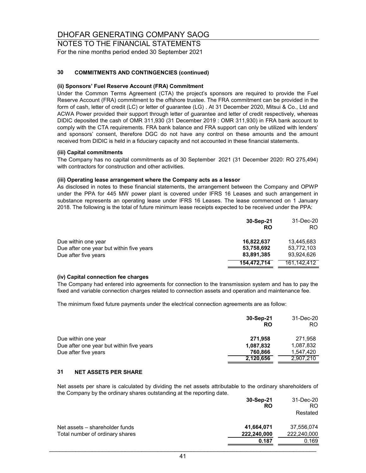NOTES TO THE FINANCIAL STATEMENTS For the nine months period ended 30 September 2021

#### **30 COMMITMENTS AND CONTINGENCIES (continued)**

#### **(ii) Sponsors' Fuel Reserve Account (FRA) Commitment**

Under the Common Terms Agreement (CTA) the project's sponsors are required to provide the Fuel Reserve Account (FRA) commitment to the offshore trustee. The FRA commitment can be provided in the form of cash, letter of credit (LC) or letter of guarantee (LG) . At 31 December 2020, Mitsui & Co., Ltd and ACWA Power provided their support through letter of guarantee and letter of credit respectively, whereas DIDIC deposited the cash of OMR 311,930 (31 December 2019 : OMR 311,930) in FRA bank account to comply with the CTA requirements. FRA bank balance and FRA support can only be utilized with lenders' and sponsors' consent, therefore DGC do not have any control on these amounts and the amount received from DIDIC is held in a fiduciary capacity and not accounted in these financial statements.

#### **(iii) Capital commitments**

The Company has no capital commitments as of 30 September 2021 (31 December 2020: RO 275,494) with contractors for construction and other activities.

#### **(iii) Operating lease arrangement where the Company acts as a lessor**

As disclosed in notes to these financial statements, the arrangement between the Company and OPWP under the PPA for 445 MW power plant is covered under IFRS 16 Leases and such arrangement in substance represents an operating lease under IFRS 16 Leases. The lease commenced on 1 January 2018. The following is the total of future minimum lease receipts expected to be received under the PPA:

|                                                                                         | 30-Sep-21<br><b>RO</b>                 | 31-Dec-20<br>RO.                       |
|-----------------------------------------------------------------------------------------|----------------------------------------|----------------------------------------|
| Due within one year<br>Due after one year but within five years<br>Due after five years | 16,822,637<br>53,758,692<br>83,891,385 | 13.445.683<br>53.772.103<br>93.924.626 |
|                                                                                         | 154.472.714                            | 161.142.412                            |

#### **(iv) Capital connection fee charges**

The Company had entered into agreements for connection to the transmission system and has to pay the fixed and variable connection charges related to connection assets and operation and maintenance fee.

The minimum fixed future payments under the electrical connection agreements are as follow:

|                                          | 30-Sep-21<br>RO | 31-Dec-20<br>RO. |
|------------------------------------------|-----------------|------------------|
| Due within one year                      | 271.958         | 271.958          |
| Due after one year but within five years | 1,087,832       | 1,087,832        |
| Due after five years                     | 760.866         | 1,547,420        |
|                                          | 2,120,656       | 2,907,210        |

#### **31 NET ASSETS PER SHARE**

Net assets per share is calculated by dividing the net assets attributable to the ordinary shareholders of the Company by the ordinary shares outstanding at the reporting date.

|                                 | 30-Sep-21<br><b>RO</b> | 31-Dec-20<br>RO. |
|---------------------------------|------------------------|------------------|
|                                 |                        | Restated         |
| Net assets – shareholder funds  | 41,664,071             | 37,556,074       |
| Total number of ordinary shares | 222,240,000            | 222,240,000      |
|                                 | 0.187                  | 0.169            |
|                                 |                        |                  |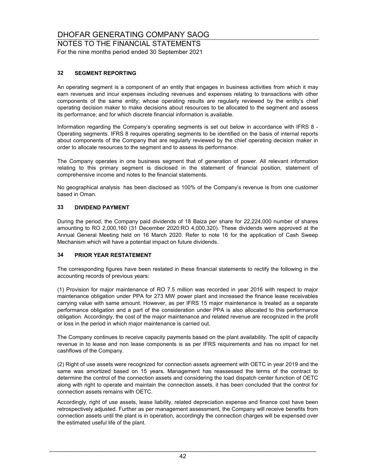NOTES TO THE FINANCIAL STATEMENTS For the nine months period ended 30 September 2021

#### **32 SEGMENT REPORTING**

An operating segment is a component of an entity that engages in business activities from which it may earn revenues and incur expenses including revenues and expenses relating to transactions with other components of the same entity; whose operating results are regularly reviewed by the entity's chief operating decision maker to make decisions about resources to be allocated to the segment and assess its performance; and for which discrete financial information is available.

Information regarding the Company's operating segments is set out below in accordance with IFRS 8 - Operating segments. IFRS 8 requires operating segments to be identified on the basis of internal reports about components of the Company that are regularly reviewed by the chief operating decision maker in order to allocate resources to the segment and to assess its performance.

The Company operates in one business segment that of generation of power. All relevant information relating to this primary segment is disclosed in the statement of financial position, statement of comprehensive income and notes to the financial statements.

No geographical analysis has been disclosed as 100% of the Company's revenue is from one customer based in Oman.

#### **33 DIVIDEND PAYMENT**

During the period, the Company paid dividends of 18 Baiza per share for 22,224,000 number of shares amounting to RO 2,000,160 (31 December 2020:RO 4,000,320). These dividends were approved at the Annual General Meeting held on 16 March 2020. Refer to note 16 for the application of Cash Sweep Mechanism which will have a potential impact on future dividends.

#### **34 PRIOR YEAR RESTATEMENT**

The corresponding figures have been restated in these financial statements to rectify the following in the accounting records of previous years:

(1) Provision for major maintenance of RO 7.5 million was recorded in year 2016 with respect to major maintenance obligation under PPA for 273 MW power plant and increased the finance lease receivables carrying value with same amount. However, as per IFRS 15 major maintenance is treated as a separate performance obligation and a part of the consideration under PPA is also allocated to this performance obligation. Accordingly, the cost of the major maintenance and related revenue are recognized in the profit or loss in the period in which major maintenance is carried out.

The Company continues to receive capacity payments based on the plant availability. The split of capacity revenue in to lease and non lease components is as per IFRS requirements and has no impact for net cashflows of the Company.

(2) Right of use assets were recognized for connection assets agreement with OETC in year 2019 and the same was amortized based on 15 years. Management has reassessed the terms of the contract to determine the control of the connection assets and considering the load dispatch center function of OETC along with right to operate and maintain the connection assets, it has been concluded that the control for connection assets remains with OETC.

Accordingly, right of use assets, lease liability, related depreciation expense and finance cost have been retrospectively adjusted. Further as per management assessment, the Company will receive benefits from connection assets until the plant is in operation, accordingly the connection charges will be expensed over the estimated useful life of the plant.